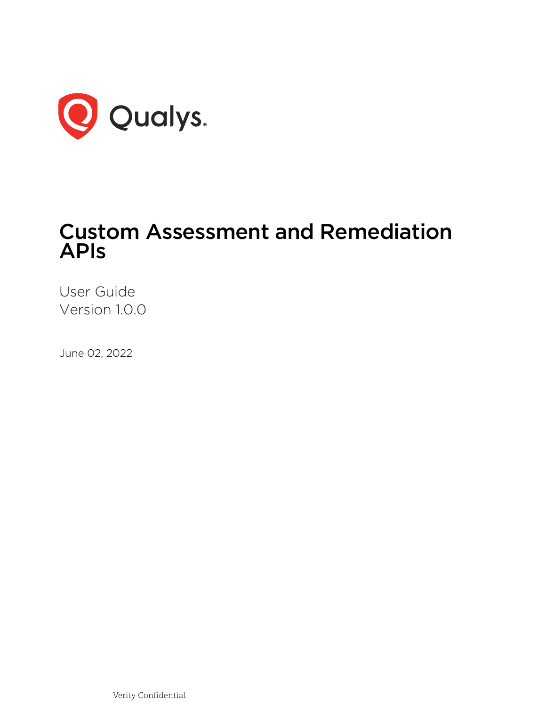

# Custom Assessment and Remediation APIs

User Guide Version 1.0.0

June 02, 2022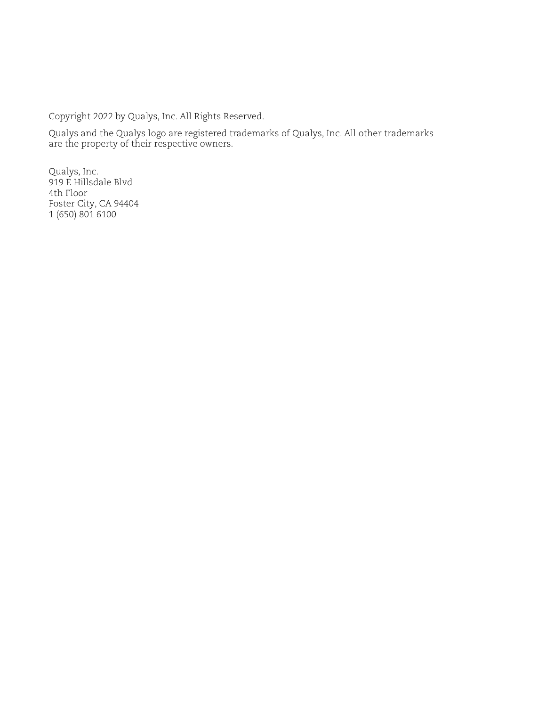Copyright 2022 by Qualys, Inc. All Rights Reserved.

Qualys and the Qualys logo are registered trademarks of Qualys, Inc. All other trademarks are the property of their respective owners.

Qualys, Inc. 919 E Hillsdale Blvd 4th Floor Foster City, CA 94404 1 (650) 801 6100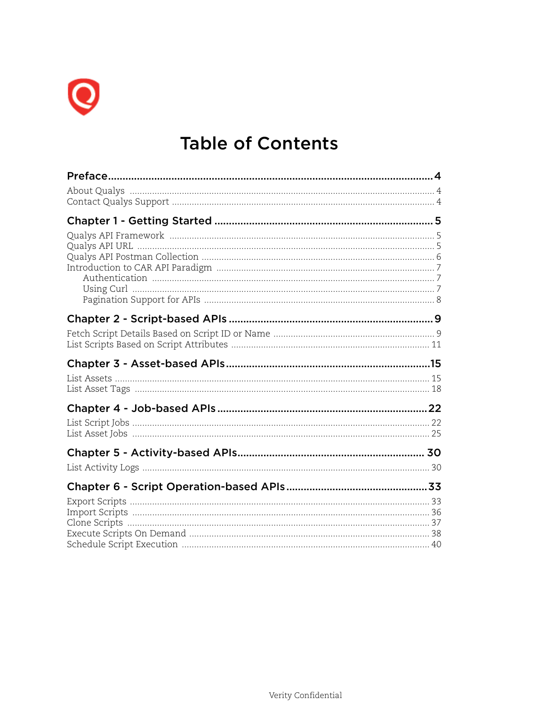

# **Table of Contents**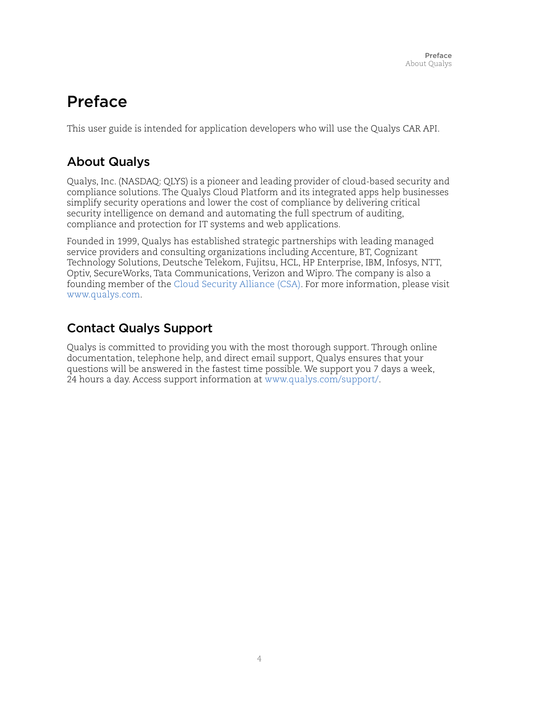# <span id="page-3-0"></span>Preface

This user guide is intended for application developers who will use the Qualys CAR API.

# <span id="page-3-1"></span>About Qualys

Qualys, Inc. (NASDAQ: QLYS) is a pioneer and leading provider of cloud-based security and compliance solutions. The Qualys Cloud Platform and its integrated apps help businesses simplify security operations and lower the cost of compliance by delivering critical security intelligence on demand and automating the full spectrum of auditing, compliance and protection for IT systems and web applications.

Founded in 1999, Qualys has established strategic partnerships with leading managed service providers and consulting organizations including Accenture, BT, Cognizant Technology Solutions, Deutsche Telekom, Fujitsu, HCL, HP Enterprise, IBM, Infosys, NTT, Optiv, SecureWorks, Tata Communications, Verizon and Wipro. The company is also a founding member of th[e Cloud Security Alliance \(CSA\)](https://cloudsecurityalliance.org/). For more information, please visit <www.qualys.com>.

# <span id="page-3-2"></span>Contact Qualys Support

Qualys is committed to providing you with the most thorough support. Through online documentation, telephone help, and direct email support, Qualys ensures that your questions will be answered in the fastest time possible. We support you 7 days a week, 24 hours a day. Access support information a[t www.qualys.com/support/.](http://www.qualys.com/support/)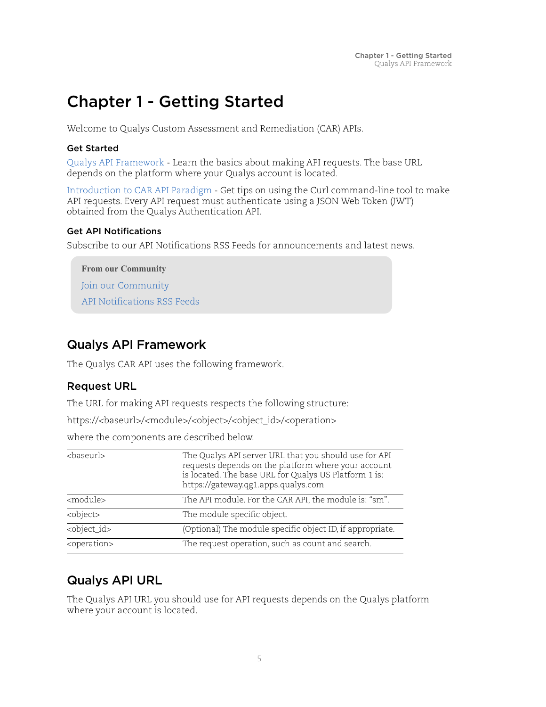# <span id="page-4-0"></span>Chapter 1 - Getting Started

Welcome to Qualys Custom Assessment and Remediation (CAR) APIs.

#### Get Started

[Qualys API Framework](#page-4-1) - Learn the basics about making API requests. The base URL depends on the platform where your Qualys account is located.

[Introduction to CAR API Paradigm](#page-6-0) - Get tips on using the Curl command-line tool to make API requests. Every API request must authenticate using a JSON Web Token (JWT) obtained from the Qualys Authentication API.

#### Get API Notifications

Subscribe to our API Notifications RSS Feeds for announcements and latest news.

**From our Community** [Join our Community](https://community.qualys.com/login!input.jspa?registerOnly=true) [API Notifications RSS Feeds](https://community.qualys.com/community/notifications-api)

# <span id="page-4-1"></span>Qualys API Framework

The Qualys CAR API uses the following framework.

## Request URL

The URL for making API requests respects the following structure:

https://<baseurl>/<module>/<object>/<object\_id>/<operation>

where the components are described below.

| <baseurl></baseurl>     | The Qualys API server URL that you should use for API<br>requests depends on the platform where your account<br>is located. The base URL for Qualys US Platform 1 is:<br>https://gateway.qg1.apps.qualys.com |
|-------------------------|--------------------------------------------------------------------------------------------------------------------------------------------------------------------------------------------------------------|
| <module></module>       | The API module. For the CAR API, the module is: "sm".                                                                                                                                                        |
| <object></object>       | The module specific object.                                                                                                                                                                                  |
| <object_id></object_id> | (Optional) The module specific object ID, if appropriate.                                                                                                                                                    |
| <operation></operation> | The request operation, such as count and search.                                                                                                                                                             |

# <span id="page-4-2"></span>Qualys API URL

The Qualys API URL you should use for API requests depends on the Qualys platform where your account is located.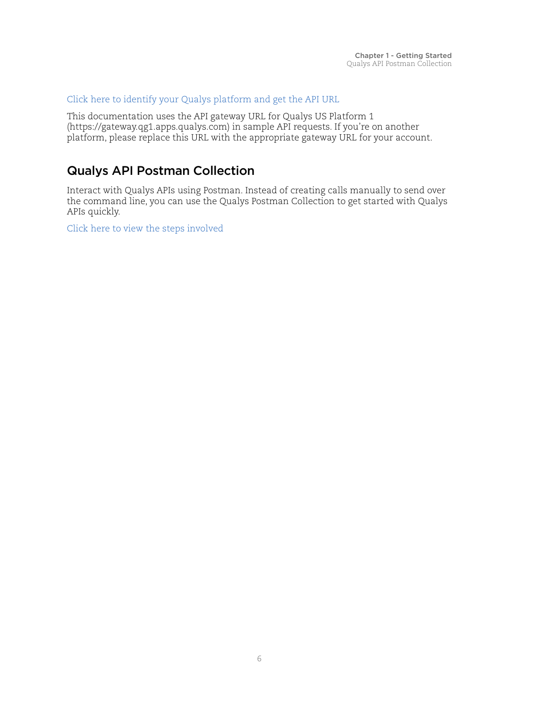#### [Click here to identify your Qualys platform and get the API URL](https://www.qualys.com/platform-identification/)

This documentation uses the API gateway URL for Qualys US Platform 1 (https://gateway.qg1.apps.qualys.com) in sample API requests. If you're on another platform, please replace this URL with the appropriate gateway URL for your account.

# <span id="page-5-0"></span>Qualys API Postman Collection

Interact with Qualys APIs using Postman. Instead of creating calls manually to send over the command line, you can use the Qualys Postman Collection to get started with Qualys APIs quickly.

[Click here to view the steps involved](https://documenter.getpostman.com/view/7159960/SVtSXqHx?version=latest)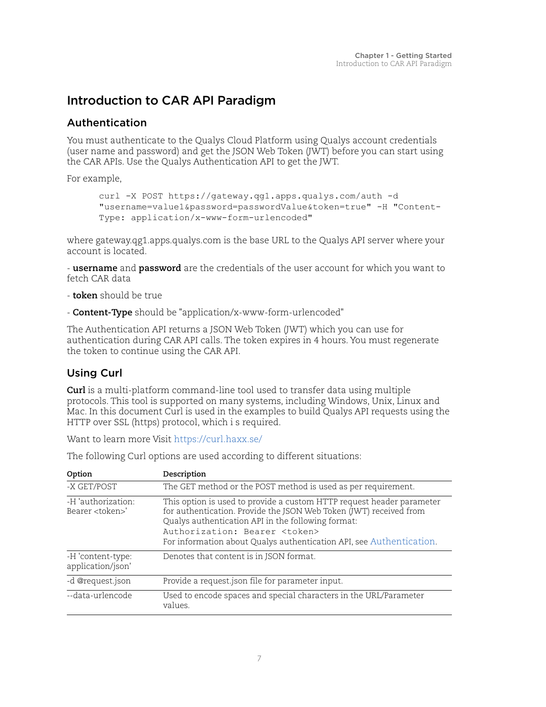# <span id="page-6-0"></span>Introduction to CAR API Paradigm

# <span id="page-6-1"></span>Authentication

You must authenticate to the Qualys Cloud Platform using Qualys account credentials (user name and password) and get the JSON Web Token (JWT) before you can start using the CAR APIs. Use the Qualys Authentication API to get the JWT.

For example,

```
curl -X POST https://gateway.qg1.apps.qualys.com/auth -d 
"username=value1&password=passwordValue&token=true" -H "Content-
Type: application/x-www-form-urlencoded"
```
where gateway.qg1.apps.qualys.com is the base URL to the Qualys API server where your account is located.

- **username** and **password** are the credentials of the user account for which you want to fetch CAR data

- **token** should be true
- **Content-Type** should be "application/x-www-form-urlencoded"

The Authentication API returns a JSON Web Token (JWT) which you can use for authentication during CAR API calls. The token expires in 4 hours. You must regenerate the token to continue using the CAR API.

# <span id="page-6-2"></span>Using Curl

**Curl** is a multi-platform command-line tool used to transfer data using multiple protocols. This tool is supported on many systems, including Windows, Unix, Linux and Mac. In this document Curl is used in the examples to build Qualys API requests using the HTTP over SSL (https) protocol, which i s required.

Want to learn more Visit<https://curl.haxx.se/>

|  |  |  | The following Curl options are used according to different situations: |
|--|--|--|------------------------------------------------------------------------|
|  |  |  |                                                                        |

| Option                                        | Description                                                                                                                                                                                                                                                                                                         |
|-----------------------------------------------|---------------------------------------------------------------------------------------------------------------------------------------------------------------------------------------------------------------------------------------------------------------------------------------------------------------------|
| -X GET/POST                                   | The GET method or the POST method is used as per requirement.                                                                                                                                                                                                                                                       |
| -H 'authorization:<br>Bearer <token>'</token> | This option is used to provide a custom HTTP request header parameter<br>for authentication. Provide the JSON Web Token (JWT) received from<br>Qualys authentication API in the following format:<br>Authorization: Bearer <token><br/>For information about Qualys authentication API, see Authentication.</token> |
| -H 'content-type:<br>application/json'        | Denotes that content is in JSON format.                                                                                                                                                                                                                                                                             |
| -d @request.json                              | Provide a request json file for parameter input.                                                                                                                                                                                                                                                                    |
| --data-urlencode                              | Used to encode spaces and special characters in the URL/Parameter<br>values.                                                                                                                                                                                                                                        |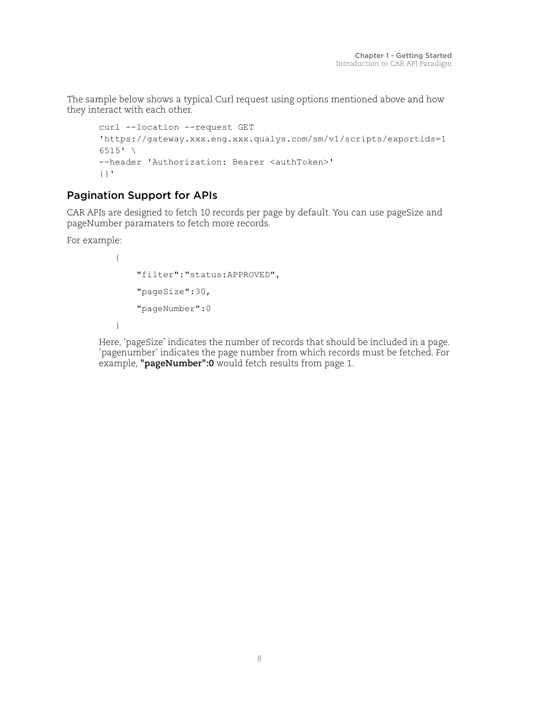The sample below shows a typical Curl request using options mentioned above and how they interact with each other.

```
curl --location --request GET
'https://gateway.xxx.eng.xxx.qualys.com/sm/v1/scripts/exportids=1
6515' \
--header 'Authorization: Bearer <authToken>'
\{\ \} "
```
## <span id="page-7-0"></span>Pagination Support for APIs

CAR APIs are designed to fetch 10 records per page by default. You can use pageSize and pageNumber paramaters to fetch more records.

For example:

```
{
     "filter":"status:APPROVED",
     "pageSize":30,
     "pageNumber":0
}
```
Here, 'pageSize' indicates the number of records that should be included in a page. 'pagenumber' indicates the page number from which records must be fetched. For example, **"pageNumber":0** would fetch results from page 1.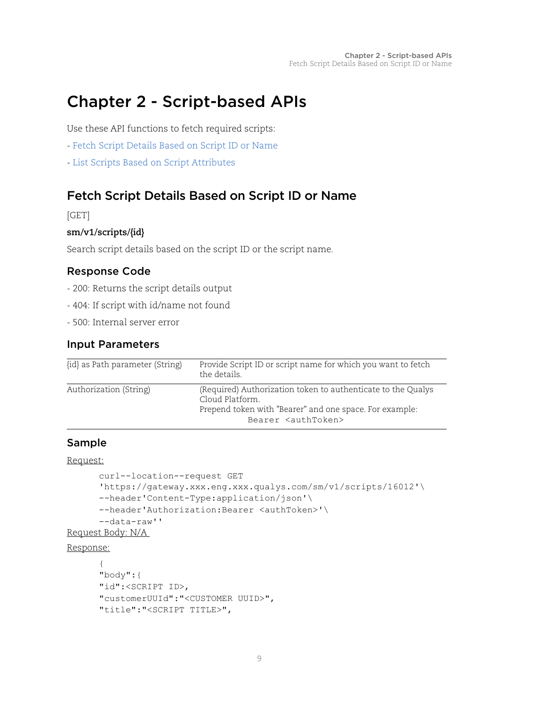# <span id="page-8-0"></span>Chapter 2 - Script-based APIs

Use these API functions to fetch required scripts:

- [Fetch Script Details Based on Script ID or Name](#page-8-1)
- [List Scripts Based on Script Attributes](#page-10-0)

# <span id="page-8-1"></span>Fetch Script Details Based on Script ID or Name

[GET]

#### **sm/v1/scripts/{id}**

Search script details based on the script ID or the script name.

#### Response Code

- 200: Returns the script details output
- 404: If script with id/name not found
- 500: Internal server error

#### Input Parameters

| {id} as Path parameter (String) | Provide Script ID or script name for which you want to fetch<br>the details.                                                                                                 |
|---------------------------------|------------------------------------------------------------------------------------------------------------------------------------------------------------------------------|
| Authorization (String)          | (Required) Authorization token to authenticate to the Qualys<br>Cloud Platform.<br>Prepend token with "Bearer" and one space. For example:<br>Bearer <authtoken></authtoken> |

#### Sample

#### Request:

```
curl--location--request GET 
      'https://gateway.xxx.eng.xxx.qualys.com/sm/v1/scripts/16012'\ 
      --header'Content-Type:application/json'\ 
      --header'Authorization:Bearer <authToken>'\ 
      --data-raw''
Request Body: N/A
```
#### Response:

```
{ 
"body":{ 
"id":<SCRIPT ID>, 
"customerUUId":"<CUSTOMER UUID>", 
"title":"<SCRIPT TITLE>",
```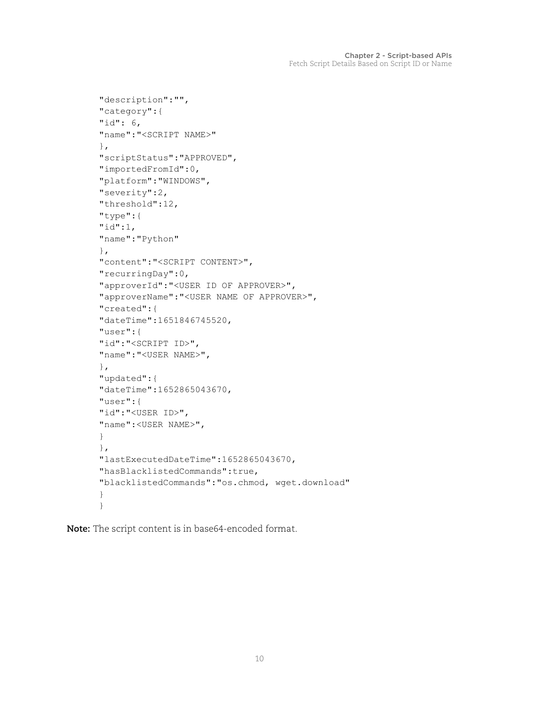```
"description":"", 
"category":{ 
"id": 6, 
"name":"<SCRIPT NAME>" 
}, 
"scriptStatus":"APPROVED", 
"importedFromId":0, 
"platform":"WINDOWS", 
"severity":2, 
"threshold":12, 
"type":{ 
"id":1, 
"name":"Python" 
}, 
"content":"<SCRIPT CONTENT>", 
"recurringDay":0, 
"approverId":"<USER ID OF APPROVER>", 
"approverName":"<USER NAME OF APPROVER>", 
"created":{ 
"dateTime":1651846745520, 
"user":{ 
"id":"<SCRIPT ID>", 
"name":"<USER NAME>", 
}, 
"updated":{ 
"dateTime":1652865043670, 
"user":{ 
"id":"<USER ID>", 
"name":<USER NAME>", 
} 
}, 
"lastExecutedDateTime":1652865043670, 
"hasBlacklistedCommands":true, 
"blacklistedCommands":"os.chmod, wget.download" 
} 
}
```
**Note:** The script content is in base64-encoded format.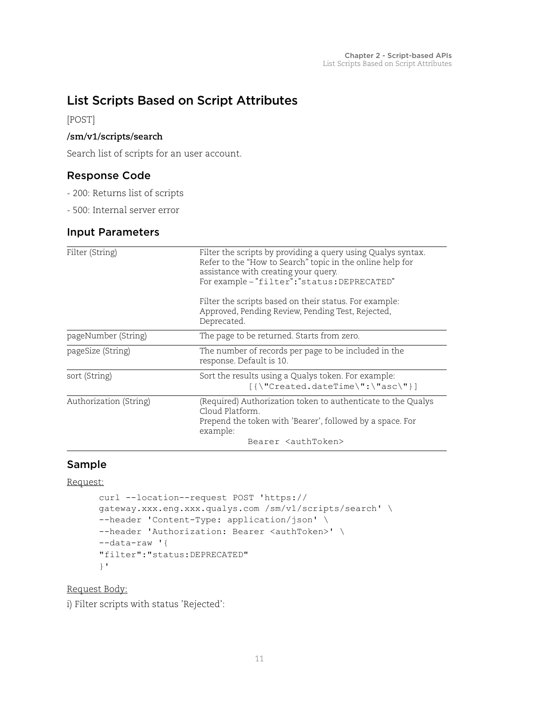# <span id="page-10-0"></span>List Scripts Based on Script Attributes

[POST]

#### **/sm/v1/scripts/search**

Search list of scripts for an user account.

### Response Code

- 200: Returns list of scripts
- 500: Internal server error

## Input Parameters

| Filter (String)        | Filter the scripts by providing a query using Qualys syntax.<br>Refer to the "How to Search" topic in the online help for<br>assistance with creating your query.<br>For example - "filter": "status: DEPRECATED" |
|------------------------|-------------------------------------------------------------------------------------------------------------------------------------------------------------------------------------------------------------------|
|                        | Filter the scripts based on their status. For example:<br>Approved, Pending Review, Pending Test, Rejected,<br>Deprecated.                                                                                        |
| pageNumber (String)    | The page to be returned. Starts from zero.                                                                                                                                                                        |
| pageSize (String)      | The number of records per page to be included in the<br>response. Default is 10.                                                                                                                                  |
| sort (String)          | Sort the results using a Qualys token. For example:                                                                                                                                                               |
| Authorization (String) | (Required) Authorization token to authenticate to the Qualys<br>Cloud Platform.<br>Prepend the token with 'Bearer', followed by a space. For<br>example:<br>Bearer <authtoken></authtoken>                        |

### Sample

#### Request:

```
curl --location--request POST 'https:// 
gateway.xxx.eng.xxx.qualys.com /sm/v1/scripts/search' \ 
--header 'Content-Type: application/json' \ 
--header 'Authorization: Bearer <authToken>' \ 
--data-raw '{ 
"filter":"status:DEPRECATED" 
}'
```
Request Body:

i) Filter scripts with status 'Rejected':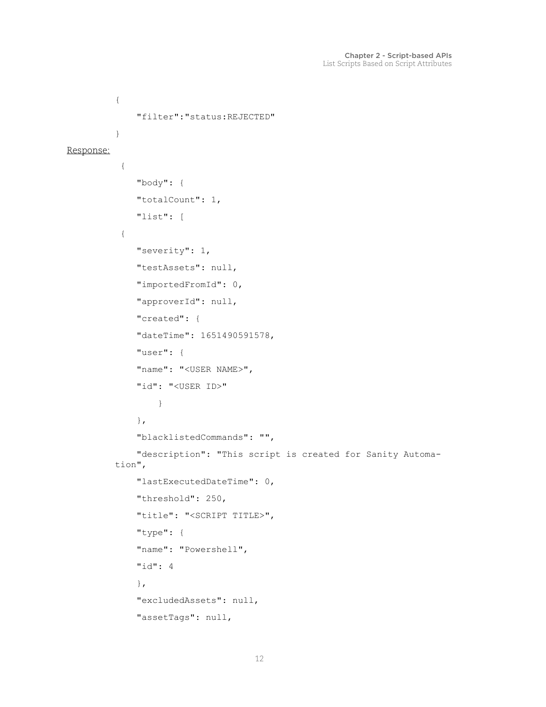```
{ 
                "filter":"status:REJECTED" 
          } 
Response:
            { 
                "body": { 
                "totalCount": 1, 
                "list": [ 
            { 
                "severity": 1, 
                "testAssets": null, 
                "importedFromId": 0, 
                "approverId": null, 
                "created": { 
                "dateTime": 1651490591578, 
                "user": { 
               "name": "<USER NAME>",
                "id": "<USER ID>"
                    } 
                }, 
                "blacklistedCommands": "", 
                "description": "This script is created for Sanity Automa-
          tion", 
                "lastExecutedDateTime": 0, 
                "threshold": 250, 
                "title": "<SCRIPT TITLE>", 
                "type": { 
                "name": "Powershell", 
                "id": 4 
                }, 
                "excludedAssets": null, 
                "assetTags": null,
```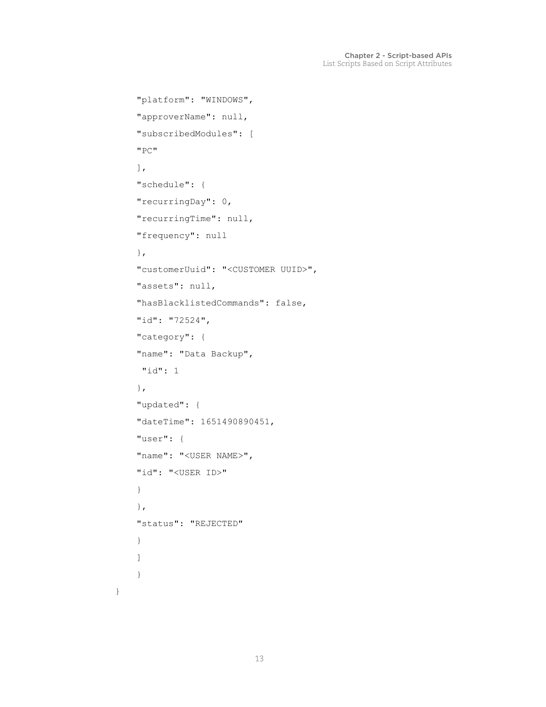```
 "platform": "WINDOWS", 
 "approverName": null, 
 "subscribedModules": [ 
 "PC" 
\frac{1}{2},
 "schedule": { 
 "recurringDay": 0, 
 "recurringTime": null, 
 "frequency": null 
 }, 
 "customerUuid": "<CUSTOMER UUID>", 
 "assets": null, 
 "hasBlacklistedCommands": false, 
 "id": "72524", 
 "category": { 
 "name": "Data Backup", 
 "id": 1 
 }, 
 "updated": { 
 "dateTime": 1651490890451, 
 "user": { 
"name": "<USER NAME>",
 "id": "<USER ID>"
 } 
 }, 
 "status": "REJECTED" 
 } 
 ] 
 }
```
}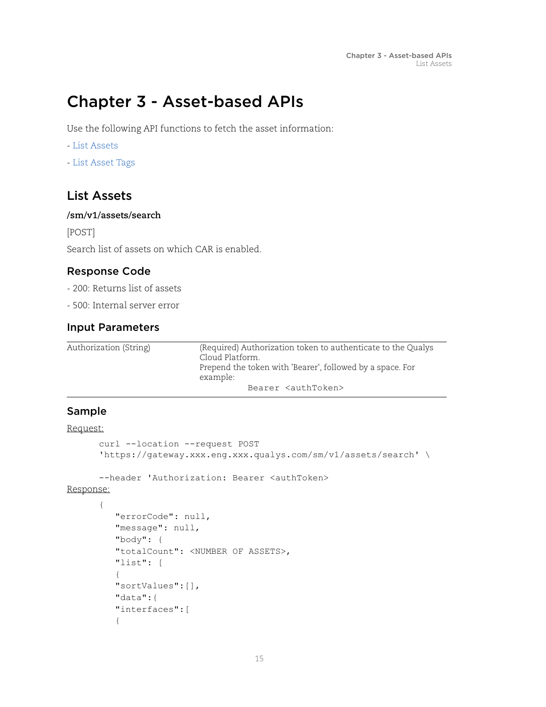# <span id="page-14-0"></span>Chapter 3 - Asset-based APIs

Use the following API functions to fetch the asset information:

- [List Assets](#page-14-1)
- [List Asset Tags](#page-17-0)

# <span id="page-14-1"></span>List Assets

#### **/sm/v1/assets/search**

[POST]

Search list of assets on which CAR is enabled.

#### Response Code

- 200: Returns list of assets
- 500: Internal server error

#### Input Parameters

| Authorization (String) | (Required) Authorization token to authenticate to the Qualys<br>Cloud Platform.<br>Prepend the token with 'Bearer', followed by a space. For<br>example: |
|------------------------|----------------------------------------------------------------------------------------------------------------------------------------------------------|
|                        | Bearer <authtoken></authtoken>                                                                                                                           |

### Sample

#### Request:

```
curl --location --request POST 
      'https://gateway.xxx.eng.xxx.qualys.com/sm/v1/assets/search' \ 
      --header 'Authorization: Bearer <authToken> 
Response:
      { 
           "errorCode": null, 
          "message": null, 
           "body": { 
           "totalCount": <NUMBER OF ASSETS>, 
           "list": [ 
           { 
           "sortValues":[], 
           "data":{ 
           "interfaces":[ 
           {
```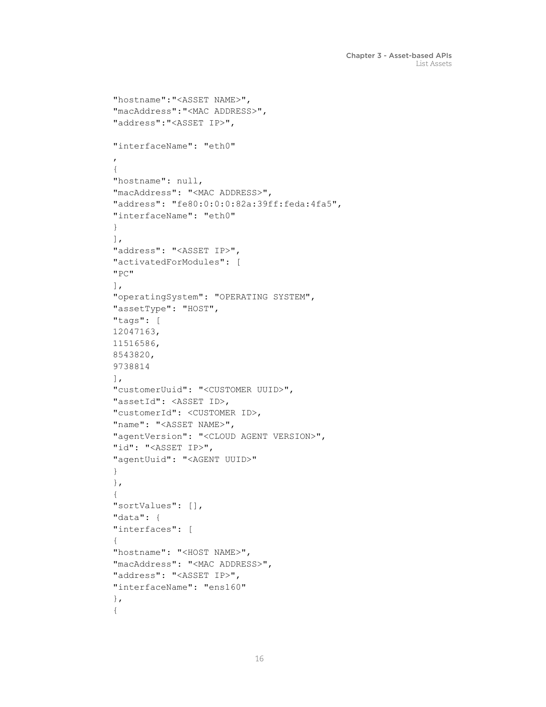```
 "hostname":"<ASSET NAME>", 
 "macAddress":"<MAC ADDRESS>", 
 "address":"<ASSET IP>", 
 "interfaceName": "eth0" 
 , 
 { 
 "hostname": null, 
 "macAddress": "<MAC ADDRESS>", 
 "address": "fe80:0:0:0:82a:39ff:feda:4fa5", 
 "interfaceName": "eth0" 
 } 
\frac{1}{2},
 "address": "<ASSET IP>", 
 "activatedForModules": [ 
 "PC" 
\frac{1}{\sqrt{2}} "operatingSystem": "OPERATING SYSTEM", 
 "assetType": "HOST", 
 "tags": [ 
 12047163, 
 11516586, 
 8543820, 
 9738814 
\frac{1}{2},
 "customerUuid": "<CUSTOMER UUID>", 
 "assetId": <ASSET ID>, 
 "customerId": <CUSTOMER ID>, 
"name": "<ASSET NAME>",
 "agentVersion": "<CLOUD AGENT VERSION>", 
 "id": "<ASSET IP>", 
 "agentUuid": "<AGENT UUID>" 
 } 
 }, 
 { 
 "sortValues": [], 
 "data": { 
 "interfaces": [ 
 { 
 "hostname": "<HOST NAME>", 
 "macAddress": "<MAC ADDRESS>", 
 "address": "<ASSET IP>", 
 "interfaceName": "ens160" 
 }, 
 {
```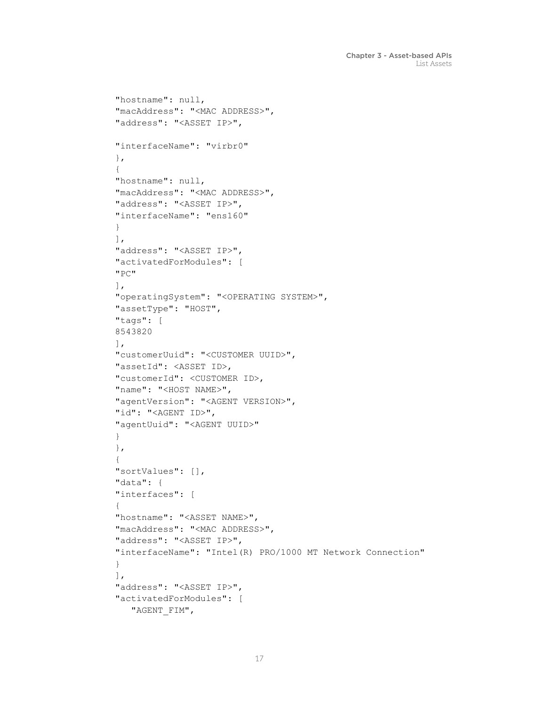```
 "hostname": null, 
 "macAddress": "<MAC ADDRESS>", 
 "address": "<ASSET IP>", 
 "interfaceName": "virbr0" 
 }, 
 { 
 "hostname": null, 
 "macAddress": "<MAC ADDRESS>", 
 "address": "<ASSET IP>", 
 "interfaceName": "ens160" 
 } 
\frac{1}{2},
 "address": "<ASSET IP>", 
 "activatedForModules": [ 
 "PC" 
\cdot "operatingSystem": "<OPERATING SYSTEM>", 
 "assetType": "HOST", 
 "tags": [ 
 8543820 
\frac{1}{2},
 "customerUuid": "<CUSTOMER UUID>", 
 "assetId": <ASSET ID>, 
 "customerId": <CUSTOMER ID>, 
"name": "<HOST NAME>",
 "agentVersion": "<AGENT VERSION>", 
 "id": "<AGENT ID>", 
 "agentUuid": "<AGENT UUID>" 
 } 
 }, 
 { 
 "sortValues": [], 
 "data": { 
 "interfaces": [ 
 { 
 "hostname": "<ASSET NAME>", 
 "macAddress": "<MAC ADDRESS>", 
 "address": "<ASSET IP>", 
 "interfaceName": "Intel(R) PRO/1000 MT Network Connection" 
 } 
\frac{1}{\sqrt{2}} "address": "<ASSET IP>", 
 "activatedForModules": [ 
    "AGENT_FIM",
```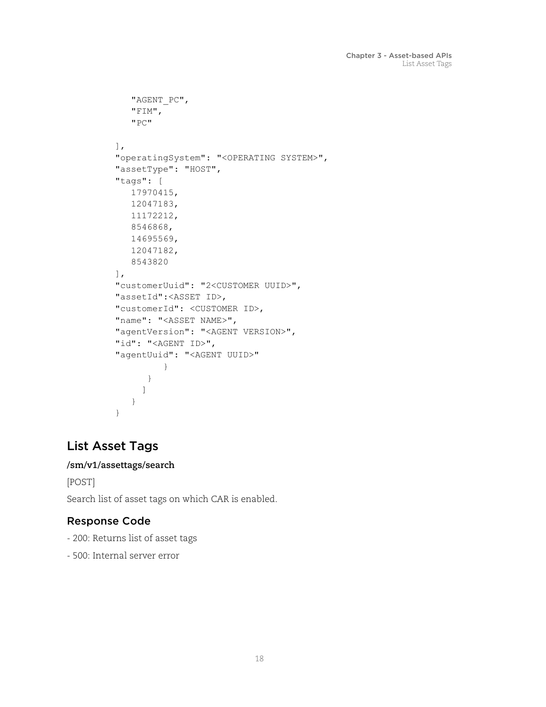```
 "AGENT_PC", 
       "FIM", 
       "PC" 
   \frac{1}{2},
    "operatingSystem": "<OPERATING SYSTEM>", 
    "assetType": "HOST", 
    "tags": [ 
       17970415, 
       12047183, 
       11172212, 
       8546868, 
       14695569, 
       12047182, 
       8543820 
   \frac{1}{2},
    "customerUuid": "2<CUSTOMER UUID>", 
    "assetId":<ASSET ID>, 
    "customerId": <CUSTOMER ID>, 
   "name": "<ASSET NAME>",
    "agentVersion": "<AGENT VERSION>", 
   "id": "<AGENT ID>",
    "agentUuid": "<AGENT UUID>" 
 } 
 } 
         ] 
       } 
    }
```
# <span id="page-17-0"></span>List Asset Tags

#### **/sm/v1/assettags/search**

[POST] Search list of asset tags on which CAR is enabled.

# Response Code

- 200: Returns list of asset tags
- 500: Internal server error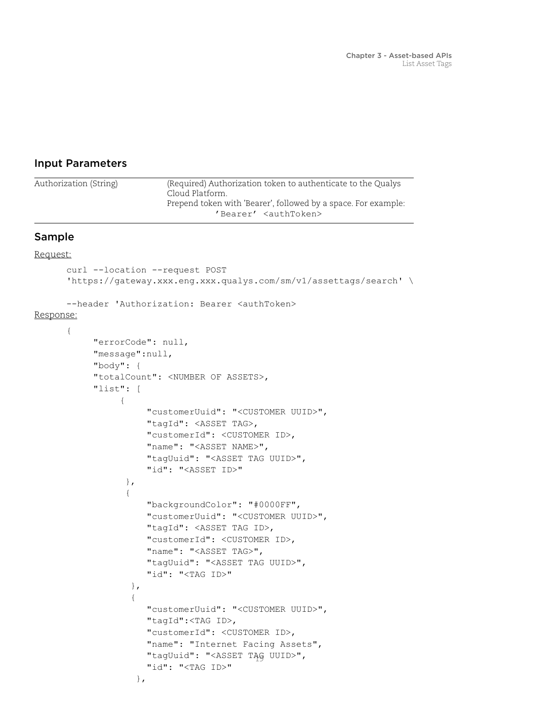#### Input Parameters

```
19
 "tagUuid": "<ASSET TAG UUID>", 
Sample
Request:
      curl --location --request POST 
      'https://gateway.xxx.eng.xxx.qualys.com/sm/v1/assettags/search' \ 
      --header 'Authorization: Bearer <authToken>
Response:
      { 
             "errorCode": null, 
             "message":null, 
             "body": { 
             "totalCount": <NUMBER OF ASSETS>, 
             "list": [ 
       { 
                       "customerUuid": "<CUSTOMER UUID>", 
                       "tagId": <ASSET TAG>, 
                       "customerId": <CUSTOMER ID>, 
                       "name": "<ASSET NAME>", 
                       "tagUuid": "<ASSET TAG UUID>", 
                       "id": "<ASSET ID>" 
                   }, 
       { 
                       "backgroundColor": "#0000FF", 
                       "customerUuid": "<CUSTOMER UUID>", 
                       "tagId": <ASSET TAG ID>, 
                       "customerId": <CUSTOMER ID>, 
                       "name": "<ASSET TAG>", 
                       "tagUuid": "<ASSET TAG UUID>", 
                       "id": "<TAG ID>" 
                    }, 
       { 
                       "customerUuid": "<CUSTOMER UUID>", 
                       "tagId":<TAG ID>, 
                       "customerId": <CUSTOMER ID>, 
                       "name": "Internet Facing Assets", 
                       "id": "<TAG ID>" 
Authorization (String) (Required) Authorization token to authenticate to the Qualys 
                          Cloud Platform.
                          Prepend token with 'Bearer', followed by a space. For example:
                                    'Bearer' <authToken>
```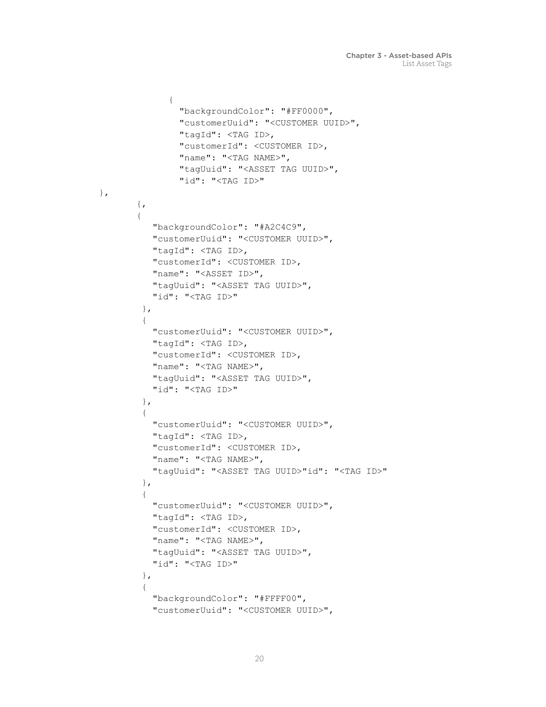```
 { 
                 "backgroundColor": "#FF0000", 
                 "customerUuid": "<CUSTOMER UUID>", 
                 "tagId": <TAG ID>, 
                 "customerId": <CUSTOMER ID>, 
                "name": "<TAG NAME>",
                 "tagUuid": "<ASSET TAG UUID>", 
                 "id": "<TAG ID>" 
       \{ , { 
           "backgroundColor": "#A2C4C9", 
           "customerUuid": "<CUSTOMER UUID>", 
           "tagId": <TAG ID>, 
           "customerId": <CUSTOMER ID>, 
           "name": "<ASSET ID>", 
           "tagUuid": "<ASSET TAG UUID>", 
           "id": "<TAG ID>" 
         }, 
         { 
           "customerUuid": "<CUSTOMER UUID>", 
           "tagId": <TAG ID>, 
           "customerId": <CUSTOMER ID>, 
          "name": "<TAG NAME>",
           "tagUuid": "<ASSET TAG UUID>", 
           "id": "<TAG ID>" 
         }, 
         { 
           "customerUuid": "<CUSTOMER UUID>", 
           "tagId": <TAG ID>, 
           "customerId": <CUSTOMER ID>, 
          "name": "<TAG NAME>",
           "tagUuid": "<ASSET TAG UUID>"id": "<TAG ID>" 
         }, 
         { 
           "customerUuid": "<CUSTOMER UUID>", 
           "tagId": <TAG ID>, 
           "customerId": <CUSTOMER ID>, 
          "name": "<TAG NAME>",
           "tagUuid": "<ASSET TAG UUID>", 
           "id": "<TAG ID>" 
         }, 
\{ "backgroundColor": "#FFFF00", 
           "customerUuid": "<CUSTOMER UUID>",
```
},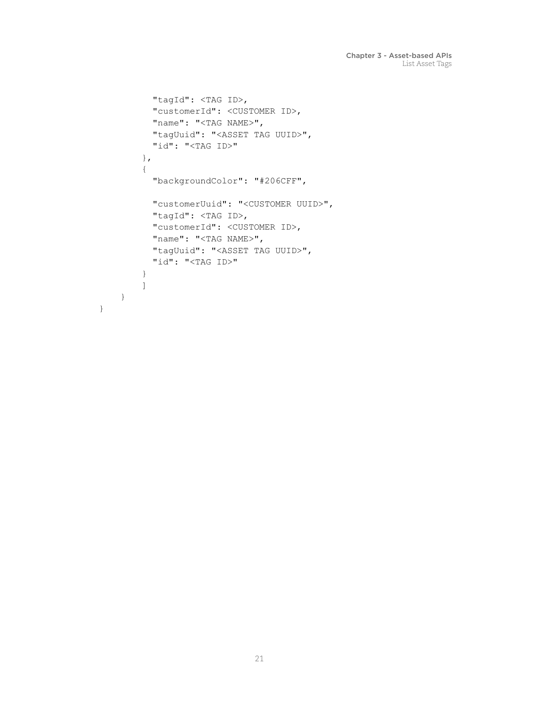```
 "tagId": <TAG ID>, 
        "customerId": <CUSTOMER ID>, 
       "name": "<TAG NAME>",
        "tagUuid": "<ASSET TAG UUID>", 
        "id": "<TAG ID>" 
      }, 
      { 
        "backgroundColor": "#206CFF", 
        "customerUuid": "<CUSTOMER UUID>", 
        "tagId": <TAG ID>, 
        "customerId": <CUSTOMER ID>, 
       "name": "<TAG NAME>",
        "tagUuid": "<ASSET TAG UUID>", 
        "id": "<TAG ID>" 
      } 
      ] 
 }
```
}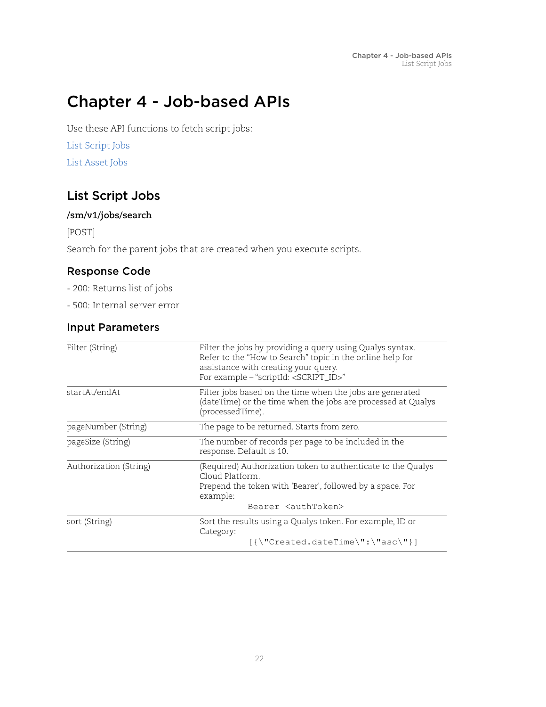# <span id="page-21-0"></span>Chapter 4 - Job-based APIs

Use these API functions to fetch script jobs:

[List Script Jobs](#page-21-1)

[List Asset Jobs](#page-24-0)

# <span id="page-21-2"></span><span id="page-21-1"></span>List Script Jobs

### **/sm/v1/jobs/search**

[POST]

Search for the parent jobs that are created when you execute scripts.

## Response Code

- 200: Returns list of jobs
- 500: Internal server error

## Input Parameters

| Filter (String)        | Filter the jobs by providing a query using Qualys syntax.<br>Refer to the "How to Search" topic in the online help for<br>assistance with creating your query.<br>For example - "scriptId: <script_id>"</script_id> |
|------------------------|---------------------------------------------------------------------------------------------------------------------------------------------------------------------------------------------------------------------|
| startAt/endAt          | Filter jobs based on the time when the jobs are generated<br>(dateTime) or the time when the jobs are processed at Qualys<br>(processedTime).                                                                       |
| pageNumber (String)    | The page to be returned. Starts from zero.                                                                                                                                                                          |
| pageSize (String)      | The number of records per page to be included in the<br>response. Default is 10.                                                                                                                                    |
| Authorization (String) | (Required) Authorization token to authenticate to the Qualys<br>Cloud Platform<br>Prepend the token with 'Bearer', followed by a space. For<br>example:<br>Bearer <authtoken></authtoken>                           |
|                        |                                                                                                                                                                                                                     |
| sort (String)          | Sort the results using a Qualys token. For example, ID or<br>Category:                                                                                                                                              |
|                        | $[{\{\Upsilon}^\texttt{reated.dat}$ . ${\texttt{dateTime}}^\texttt{r}:\Upsilon^\texttt{asc}\$                                                                                                                       |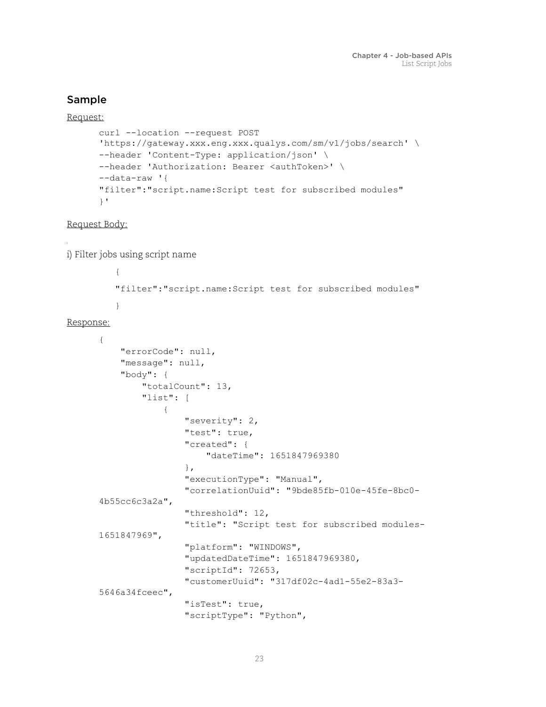## Sample

Request:

```
curl --location --request POST 
'https://gateway.xxx.eng.xxx.qualys.com/sm/v1/jobs/search' \
--header 'Content-Type: application/json' \
--header 'Authorization: Bearer <authToken>' \
--data-raw '{
"filter":"script.name:Script test for subscribed modules"
}'
```
Request Body:

i) Filter jobs using script name

```
{
"filter":"script.name:Script test for subscribed modules"
}
```
Response:

```
{
     "errorCode": null,
     "message": null,
     "body": {
         "totalCount": 13,
         "list": [
\{ "severity": 2,
                 "test": true,
                 "created": {
                      "dateTime": 1651847969380
                 },
                 "executionType": "Manual",
                 "correlationUuid": "9bde85fb-010e-45fe-8bc0-
4b55cc6c3a2a",
                 "threshold": 12,
                 "title": "Script test for subscribed modules-
1651847969",
                 "platform": "WINDOWS",
                 "updatedDateTime": 1651847969380,
                 "scriptId": 72653,
                 "customerUuid": "317df02c-4ad1-55e2-83a3-
5646a34fceec",
                 "isTest": true,
                 "scriptType": "Python",
```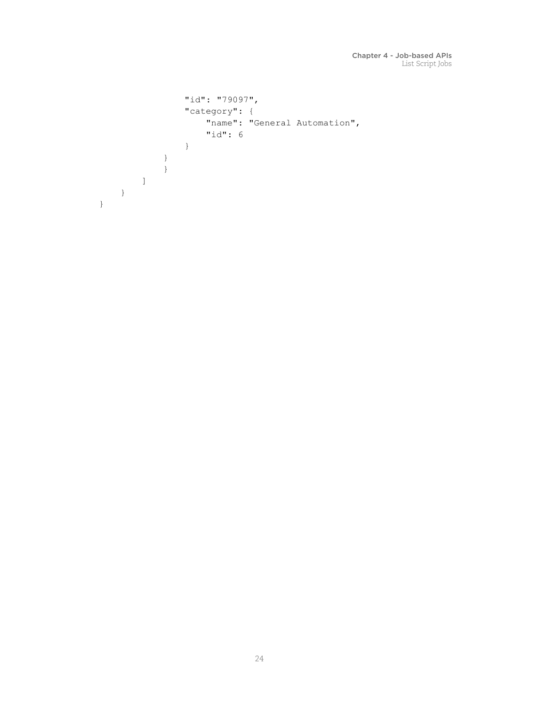```
 "id": "79097",
               "category": {
                   "name": "General Automation",
                   "id": 6
 }
           }
           }
      \Box }
}
```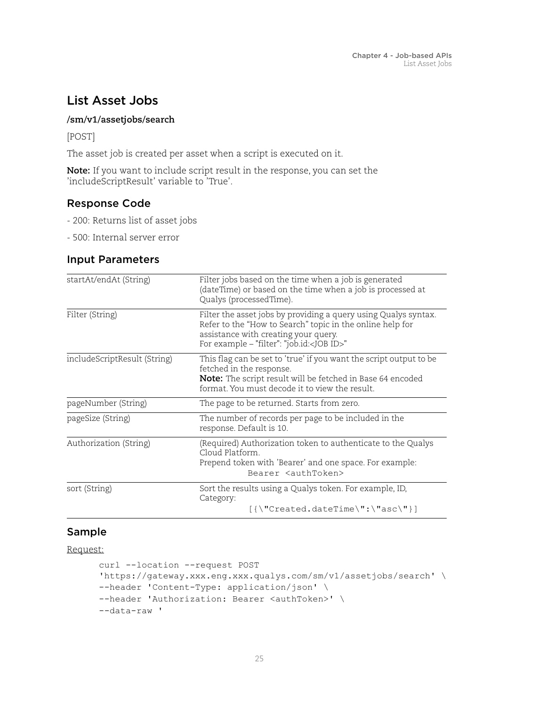# <span id="page-24-0"></span>List Asset Jobs

#### **/sm/v1/assetjobs/search**

[POST]

The asset job is created per asset when a script is executed on it.

**Note:** If you want to include script result in the response, you can set the 'includeScriptResult' variable to 'True'.

## Response Code

- 200: Returns list of asset jobs
- 500: Internal server error

## Input Parameters

| startAt/endAt (String)       | Filter jobs based on the time when a job is generated<br>(dateTime) or based on the time when a job is processed at<br>Qualys (processedTime).                                                                              |
|------------------------------|-----------------------------------------------------------------------------------------------------------------------------------------------------------------------------------------------------------------------------|
| Filter (String)              | Filter the asset jobs by providing a query using Qualys syntax.<br>Refer to the "How to Search" topic in the online help for<br>assistance with creating your query.<br>For example - "filter": "job.id: <job id="">"</job> |
| includeScriptResult (String) | This flag can be set to 'true' if you want the script output to be<br>fetched in the response.<br>Note: The script result will be fetched in Base 64 encoded<br>format. You must decode it to view the result.              |
| pageNumber (String)          | The page to be returned. Starts from zero.                                                                                                                                                                                  |
| pageSize (String)            | The number of records per page to be included in the<br>response. Default is 10.                                                                                                                                            |
| Authorization (String)       | (Required) Authorization token to authenticate to the Qualys<br>Cloud Platform.<br>Prepend token with 'Bearer' and one space. For example:<br>Bearer <authtoken></authtoken>                                                |
| sort (String)                | Sort the results using a Qualys token. For example, ID,<br>Category:                                                                                                                                                        |
|                              | $[{\{\Upsilon}^\text{reated.daterime\Upsilon : \Upsilon^\text{asc\Upsilon}\} ]$                                                                                                                                             |

## Sample

Request:

```
curl --location --request POST 
'https://gateway.xxx.eng.xxx.qualys.com/sm/v1/assetjobs/search' \ 
--header 'Content-Type: application/json' \ 
--header 'Authorization: Bearer <authToken>' \ 
--data-raw '
```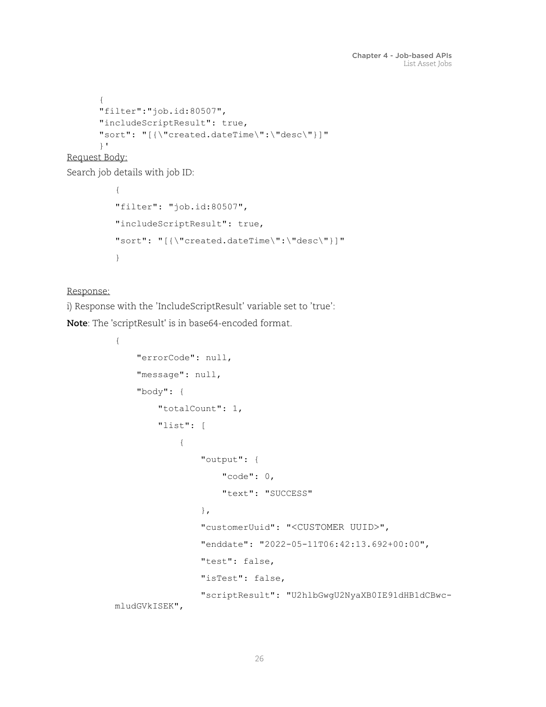```
{ 
"filter":"job.id:80507", 
"includeScriptResult": true, 
"sort": "[{\"created.dateTime\":\"desc\"}]" 
}'
```
Request Body:

Search job details with job ID:

```
{ 
"filter": "job.id:80507", 
"includeScriptResult": true, 
"sort": "[{\"created.dateTime\":\"desc\"}]" 
}
```
#### Response:

i) Response with the 'IncludeScriptResult' variable set to 'true':

**Note**: The 'scriptResult' is in base64-encoded format.

```
{
     "errorCode": null,
     "message": null,
     "body": {
         "totalCount": 1,
         "list": [
\{ "output": {
                     "code": 0,
                     "text": "SUCCESS"
                  },
                  "customerUuid": "<CUSTOMER UUID>",
                  "enddate": "2022-05-11T06:42:13.692+00:00",
                  "test": false,
                  "isTest": false,
                  "scriptResult": "U2hlbGwgU2NyaXB0IE91dHB1dCBwc-
mludGVkISEK",
```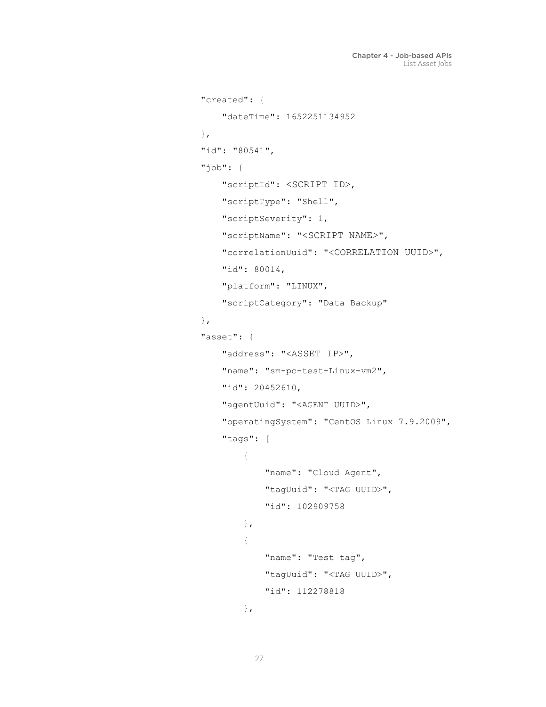```
 "created": {
                   "dateTime": 1652251134952
               },
               "id": "80541",
               "job": {
                   "scriptId": <SCRIPT ID>,
                   "scriptType": "Shell",
                   "scriptSeverity": 1,
                   "scriptName": "<SCRIPT NAME>",
                   "correlationUuid": "<CORRELATION UUID>",
                   "id": 80014,
                   "platform": "LINUX",
                   "scriptCategory": "Data Backup"
               },
               "asset": {
                   "address": "<ASSET IP>",
                   "name": "sm-pc-test-Linux-vm2",
                   "id": 20452610,
                   "agentUuid": "<AGENT UUID>",
                   "operatingSystem": "CentOS Linux 7.9.2009",
                   "tags": [
 {
                          "name": "Cloud Agent",
                          "tagUuid": "<TAG UUID>",
                          "id": 102909758
 },
 {
                          "name": "Test tag",
                          "tagUuid": "<TAG UUID>",
                          "id": 112278818
 },
```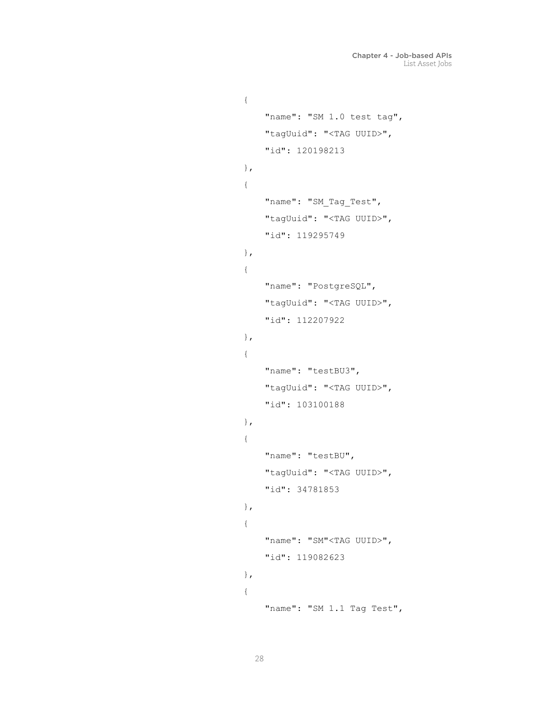```
 {
                  "name": "SM 1.0 test tag",
                  "tagUuid": "<TAG UUID>",
                  "id": 120198213
 },
 {
                 "name": "SM Tag Test",
                  "tagUuid": "<TAG UUID>",
                  "id": 119295749
 },
 {
                  "name": "PostgreSQL",
                  "tagUuid": "<TAG UUID>",
                  "id": 112207922
 },
 {
                  "name": "testBU3",
                  "tagUuid": "<TAG UUID>",
                  "id": 103100188
 },
 {
                  "name": "testBU",
                  "tagUuid": "<TAG UUID>",
                  "id": 34781853
 },
 {
                 "name": "SM"<TAG UUID>",
                  "id": 119082623
 },
 {
                  "name": "SM 1.1 Tag Test",
```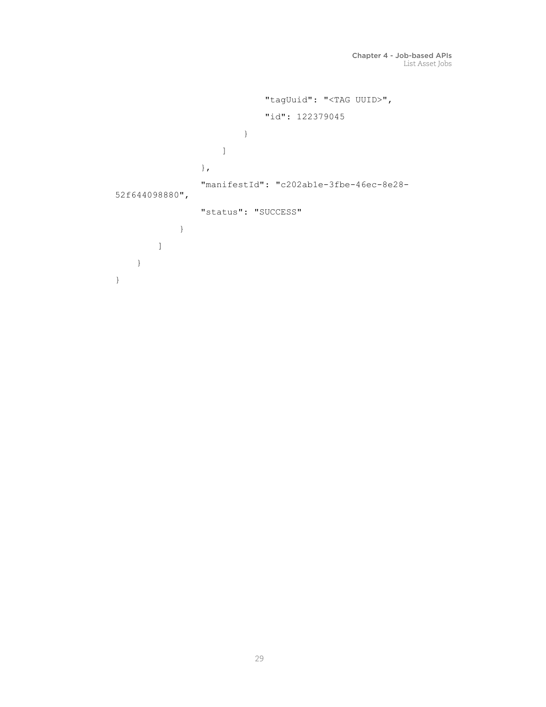```
 "tagUuid": "<TAG UUID>",
                           "id": 122379045
 }
                  ]
                },
                "manifestId": "c202ab1e-3fbe-46ec-8e28-
52f644098880",
               "status": "SUCCESS"
            }
       \, ]
    }
}
```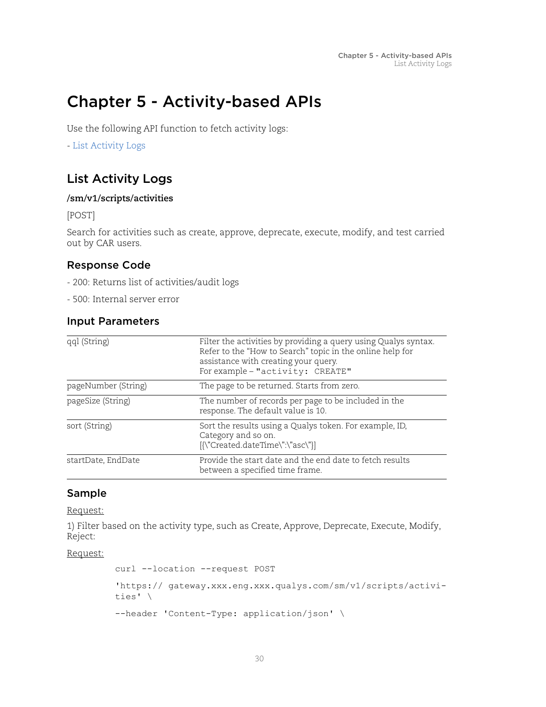# <span id="page-29-0"></span>Chapter 5 - Activity-based APIs

Use the following API function to fetch activity logs:

- [List Activity Logs](#page-29-1)

# <span id="page-29-1"></span>List Activity Logs

#### **/sm/v1/scripts/activities**

[POST]

Search for activities such as create, approve, deprecate, execute, modify, and test carried out by CAR users.

## Response Code

- 200: Returns list of activities/audit logs
- 500: Internal server error

### Input Parameters

| qql (String)        | Filter the activities by providing a query using Qualys syntax.<br>Refer to the "How to Search" topic in the online help for<br>assistance with creating your query.<br>For example - "activity: CREATE" |
|---------------------|----------------------------------------------------------------------------------------------------------------------------------------------------------------------------------------------------------|
| pageNumber (String) | The page to be returned. Starts from zero.                                                                                                                                                               |
| pageSize (String)   | The number of records per page to be included in the<br>response. The default value is 10.                                                                                                               |
| sort (String)       | Sort the results using a Qualys token. For example, ID,<br>Category and so on.<br>[{\"Created.dateTime\":\"asc\"}]                                                                                       |
| startDate, EndDate  | Provide the start date and the end date to fetch results<br>between a specified time frame.                                                                                                              |

#### Sample

Request:

1) Filter based on the activity type, such as Create, Approve, Deprecate, Execute, Modify, Reject:

#### Request:

```
curl --location --request POST 
'https:// gateway.xxx.eng.xxx.qualys.com/sm/v1/scripts/activi-
ties' \
--header 'Content-Type: application/json' \
```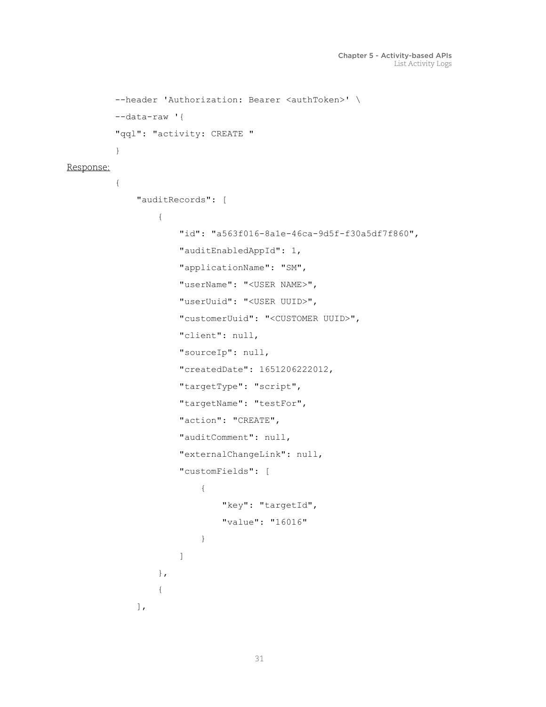```
--header 'Authorization: Bearer <authToken>' \
        --data-raw '{
         "qql": "activity: CREATE "
         }
Response:
         {
             "auditRecords": [
                  {
                     "id": "a563f016-8a1e-46ca-9d5f-f30a5df7f860",
                     "auditEnabledAppId": 1,
                     "applicationName": "SM",
                     "userName": "<USER NAME>",
                     "userUuid": "<USER UUID>",
                     "customerUuid": "<CUSTOMER UUID>",
                     "client": null,
                     "sourceIp": null,
                     "createdDate": 1651206222012,
                     "targetType": "script",
                     "targetName": "testFor",
                     "action": "CREATE",
                     "auditComment": null,
                     "externalChangeLink": null,
                     "customFields": [
          {
                             "key": "targetId",
                             "value": "16016"
          }
          ]
                  },
         \{ ],
```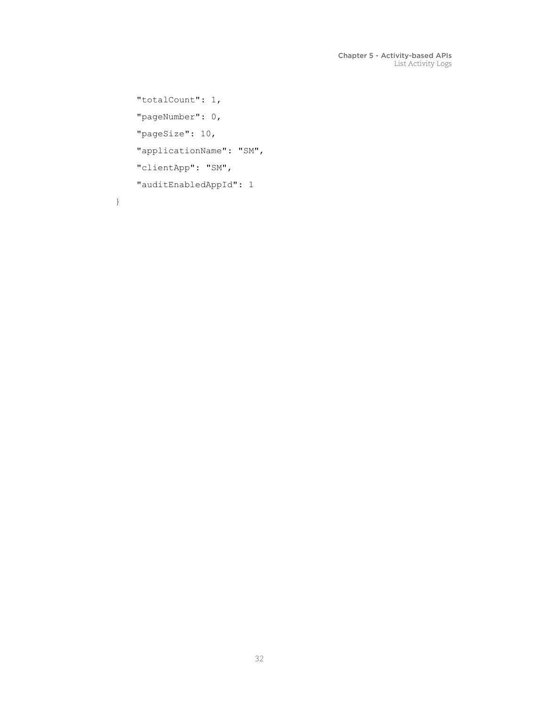```
 "totalCount": 1,
 "pageNumber": 0,
 "pageSize": 10,
 "applicationName": "SM",
 "clientApp": "SM",
 "auditEnabledAppId": 1
```
}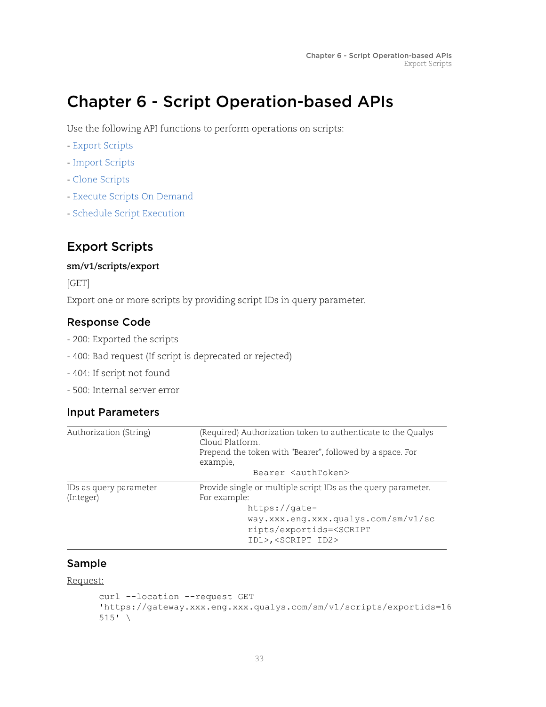# <span id="page-32-0"></span>Chapter 6 - Script Operation-based APIs

Use the following API functions to perform operations on scripts:

- [Export Scripts](#page-32-1)
- [Import Scripts](#page-35-0)
- [Clone Scripts](#page-36-0)
- [Execute Scripts On Demand](#page-37-0)
- [Schedule Script Execution](#page-39-0)

# <span id="page-32-1"></span>Export Scripts

#### **sm/v1/scripts/export**

[GET]

Export one or more scripts by providing script IDs in query parameter.

#### Response Code

- 200: Exported the scripts
- 400: Bad request (If script is deprecated or rejected)
- 404: If script not found
- 500: Internal server error

#### Input Parameters

| Authorization (String)              | (Required) Authorization token to authenticate to the Qualys<br>Cloud Platform.<br>Prepend the token with "Bearer", followed by a space. For<br>example,                                                            |
|-------------------------------------|---------------------------------------------------------------------------------------------------------------------------------------------------------------------------------------------------------------------|
|                                     | Bearer <authtoken></authtoken>                                                                                                                                                                                      |
| IDs as query parameter<br>(Integer) | Provide single or multiple script IDs as the query parameter.<br>For example:<br>$https://gate-$<br>way.xxx.eng.xxx.qualys.com/sm/v1/sc<br>ripts/exportids= <script<br>ID1&gt;,<script id2=""></script></script<br> |

#### Sample

Request:

```
curl --location --request GET 
'https://gateway.xxx.eng.xxx.qualys.com/sm/v1/scripts/exportids=16
515' \
```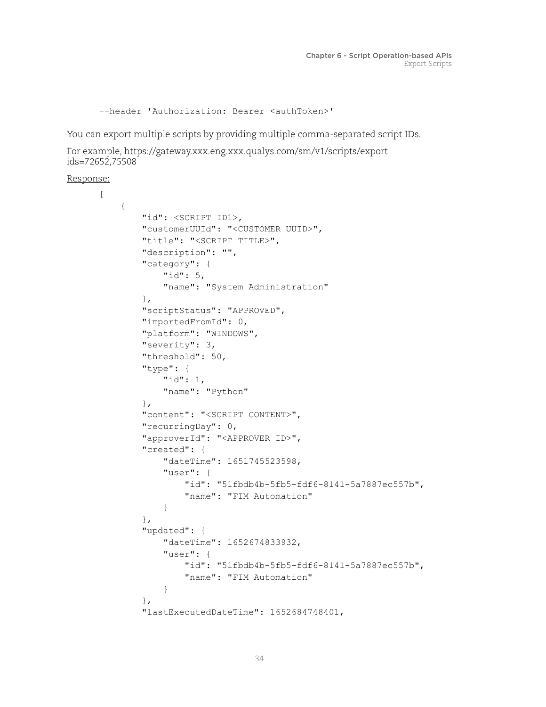--header 'Authorization: Bearer <authToken>'

You can export multiple scripts by providing multiple comma-separated script IDs.

```
For example, https://gateway.xxx.eng.xxx.qualys.com/sm/v1/scripts/export 
ids=72652,75508
```
Response:

```
\lbrack {
         "id": <SCRIPT ID1>,
         "customerUUId": "<CUSTOMER UUID>",
         "title": "<SCRIPT TITLE>",
         "description": "",
         "category": {
             "id": 5,
             "name": "System Administration"
         },
         "scriptStatus": "APPROVED",
         "importedFromId": 0,
         "platform": "WINDOWS",
         "severity": 3,
         "threshold": 50,
         "type": {
             "id": 1,
             "name": "Python"
         },
         "content": "<SCRIPT CONTENT>",
         "recurringDay": 0,
         "approverId": "<APPROVER ID>",
         "created": {
             "dateTime": 1651745523598,
             "user": {
                 "id": "51fbdb4b-5fb5-fdf6-8141-5a7887ec557b",
                 "name": "FIM Automation"
 }
         },
         "updated": {
             "dateTime": 1652674833932,
             "user": {
                 "id": "51fbdb4b-5fb5-fdf6-8141-5a7887ec557b",
                 "name": "FIM Automation"
 }
         },
         "lastExecutedDateTime": 1652684748401,
```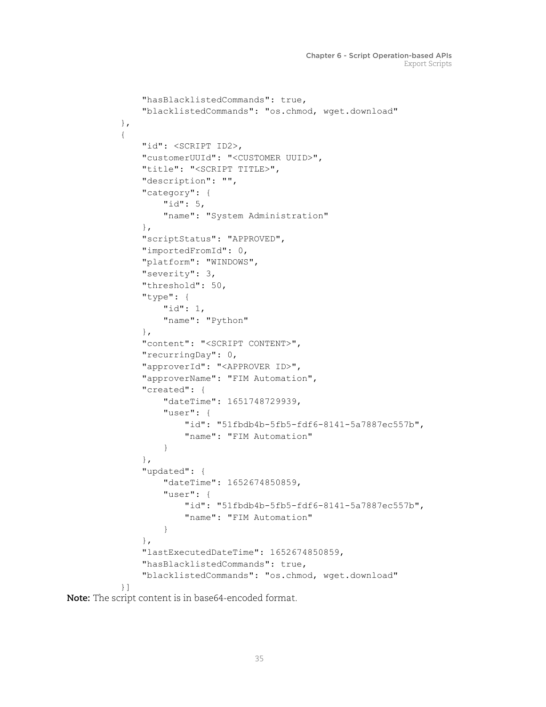```
 "hasBlacklistedCommands": true,
         "blacklistedCommands": "os.chmod, wget.download"
    },
     {
         "id": <SCRIPT ID2>,
         "customerUUId": "<CUSTOMER UUID>",
         "title": "<SCRIPT TITLE>",
         "description": "",
         "category": {
             "id": 5,
             "name": "System Administration"
         },
         "scriptStatus": "APPROVED",
         "importedFromId": 0,
         "platform": "WINDOWS",
         "severity": 3,
         "threshold": 50,
         "type": {
             "id": 1,
             "name": "Python"
         },
         "content": "<SCRIPT CONTENT>",
         "recurringDay": 0,
         "approverId": "<APPROVER ID>",
         "approverName": "FIM Automation",
         "created": {
             "dateTime": 1651748729939,
             "user": {
                 "id": "51fbdb4b-5fb5-fdf6-8141-5a7887ec557b",
                 "name": "FIM Automation"
 }
         },
         "updated": {
             "dateTime": 1652674850859,
             "user": {
                 "id": "51fbdb4b-5fb5-fdf6-8141-5a7887ec557b",
                 "name": "FIM Automation"
 }
         },
         "lastExecutedDateTime": 1652674850859,
         "hasBlacklistedCommands": true,
         "blacklistedCommands": "os.chmod, wget.download"
    }]
```
**Note:** The script content is in base64-encoded format.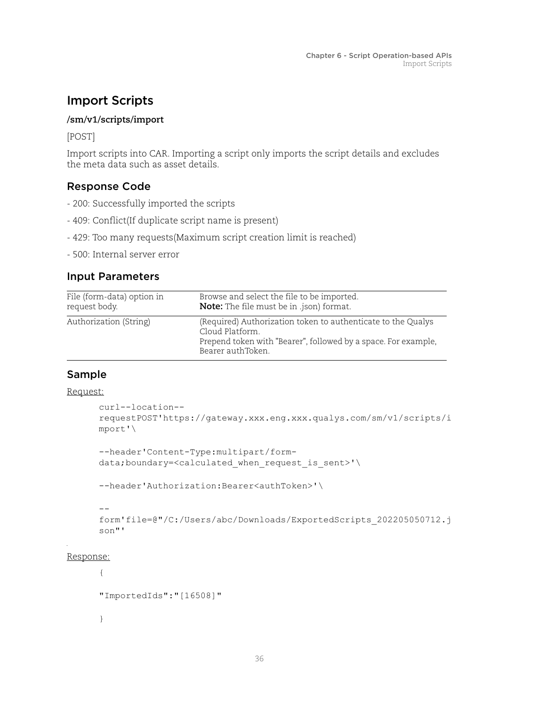# <span id="page-35-0"></span>Import Scripts

#### **/sm/v1/scripts/import**

[POST]

Import scripts into CAR. Importing a script only imports the script details and excludes the meta data such as asset details.

## Response Code

- 200: Successfully imported the scripts
- 409: Conflict(If duplicate script name is present)
- 429: Too many requests(Maximum script creation limit is reached)
- 500: Internal server error

## Input Parameters

| File (form-data) option in | Browse and select the file to be imported.                                                                                                                             |
|----------------------------|------------------------------------------------------------------------------------------------------------------------------------------------------------------------|
| request body.              | <b>Note:</b> The file must be in .json) format.                                                                                                                        |
| Authorization (String)     | (Required) Authorization token to authenticate to the Qualys<br>Cloud Platform.<br>Prepend token with "Bearer", followed by a space. For example,<br>Bearer authToken. |

## Sample

#### Request:

```
curl--location--
requestPOST'https://gateway.xxx.eng.xxx.qualys.com/sm/v1/scripts/i
mport'\
```

```
--header'Content-Type:multipart/form-
data;boundary=<calculated when request is sent>'\
```
--header'Authorization:Bearer<authToken>'\

#### --

```
form'file=@"/C:/Users/abc/Downloads/ExportedScripts_202205050712.j
son"'
```
#### Response:

```
{ 
"ImportedIds":"[16508]" 
}
```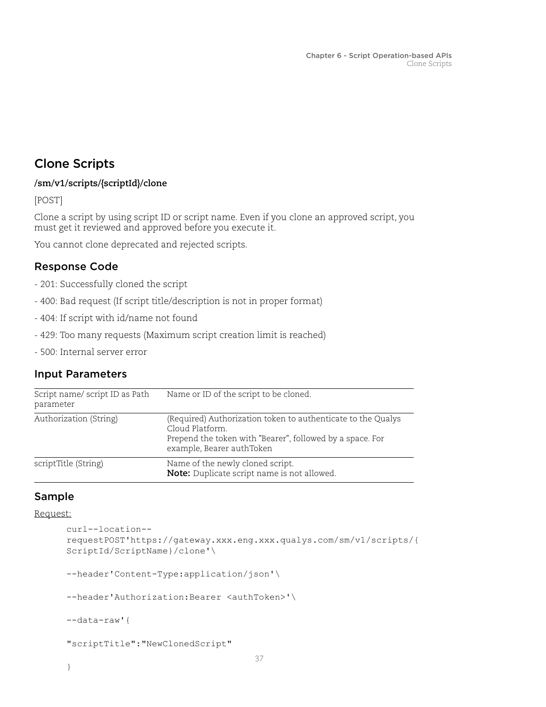# <span id="page-36-0"></span>Clone Scripts

#### **/sm/v1/scripts/{scriptId}/clone**

[POST]

Clone a script by using script ID or script name. Even if you clone an approved script, you must get it reviewed and approved before you execute it.

You cannot clone deprecated and rejected scripts.

## Response Code

- 201: Successfully cloned the script
- 400: Bad request (If script title/description is not in proper format)
- 404: If script with id/name not found
- 429: Too many requests (Maximum script creation limit is reached)
- 500: Internal server error

#### Input Parameters

| Script name/script ID as Path<br>parameter | Name or ID of the script to be cloned.                                                                                                                                    |
|--------------------------------------------|---------------------------------------------------------------------------------------------------------------------------------------------------------------------------|
| Authorization (String)                     | (Required) Authorization token to authenticate to the Qualys<br>Cloud Platform.<br>Prepend the token with "Bearer", followed by a space. For<br>example, Bearer authToken |
| scriptTitle (String)                       | Name of the newly cloned script.<br>Note: Duplicate script name is not allowed.                                                                                           |

## Sample

#### Request:

```
curl--location--
requestPOST'https://gateway.xxx.eng.xxx.qualys.com/sm/v1/scripts/{
ScriptId/ScriptName}/clone'\ 
--header'Content-Type:application/json'\ 
--header'Authorization:Bearer <authToken>'\ 
--data-raw'{ 
"scriptTitle":"NewClonedScript"
```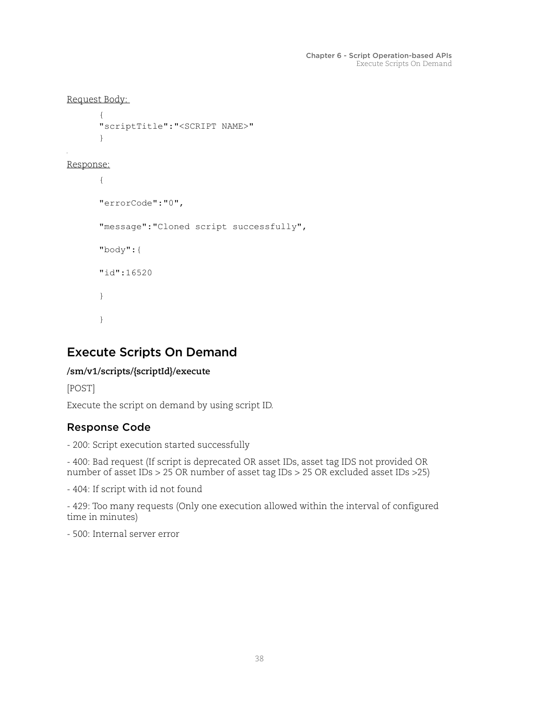```
Request Body: 
        {
```

```
"scriptTitle":"<SCRIPT NAME>" 
}
```

```
Response:
```

```
{ 
"errorCode":"0", 
"message":"Cloned script successfully", 
"body":{ 
"id":16520 
} 
}
```
# <span id="page-37-0"></span>Execute Scripts On Demand

## **/sm/v1/scripts/{scriptId}/execute**

[POST]

Execute the script on demand by using script ID.

# Response Code

- 200: Script execution started successfully

- 400: Bad request (If script is deprecated OR asset IDs, asset tag IDS not provided OR number of asset IDs > 25 OR number of asset tag IDs > 25 OR excluded asset IDs >25)

- 404: If script with id not found

- 429: Too many requests (Only one execution allowed within the interval of configured time in minutes)

- 500: Internal server error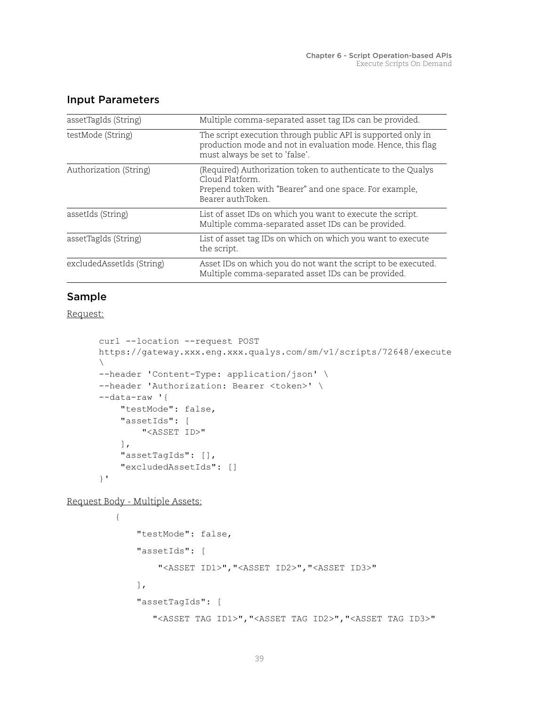| assetTagIds (String)      | Multiple comma-separated asset tag IDs can be provided.                                                                                                        |
|---------------------------|----------------------------------------------------------------------------------------------------------------------------------------------------------------|
| testMode (String)         | The script execution through public API is supported only in<br>production mode and not in evaluation mode. Hence, this flag<br>must always be set to 'false'. |
| Authorization (String)    | (Required) Authorization token to authenticate to the Qualys<br>Cloud Platform<br>Prepend token with "Bearer" and one space. For example,<br>Bearer authToken. |
| assetIds (String)         | List of asset IDs on which you want to execute the script.<br>Multiple comma-separated asset IDs can be provided.                                              |
| assetTagIds (String)      | List of asset tag IDs on which on which you want to execute<br>the script.                                                                                     |
| excludedAssetIds (String) | Asset IDs on which you do not want the script to be executed.<br>Multiple comma-separated asset IDs can be provided.                                           |

### Input Parameters

### Sample

Request:

```
curl --location --request POST 
https://gateway.xxx.eng.xxx.qualys.com/sm/v1/scripts/72648/execute
\setminus--header 'Content-Type: application/json' \
--header 'Authorization: Bearer <token>' \
--data-raw '{
     "testMode": false,
     "assetIds": [
         "<ASSET ID>"
    \left| \ \right|,
     "assetTagIds": [],
     "excludedAssetIds": []
}'
```
Request Body - Multiple Assets:

```
{
     "testMode": false,
     "assetIds": [
         "<ASSET ID1>","<ASSET ID2>","<ASSET ID3>"
     ],
     "assetTagIds": [
        "<ASSET TAG ID1>","<ASSET TAG ID2>","<ASSET TAG ID3>"
```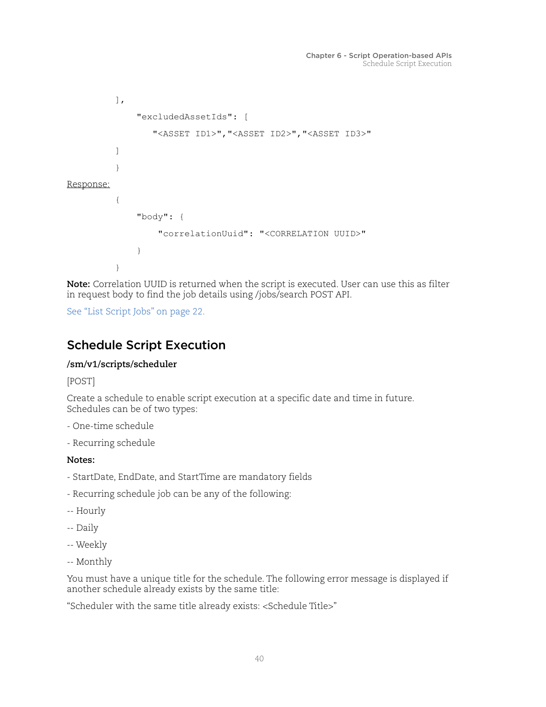```
\vert,
                "excludedAssetIds": [
                   "<ASSET ID1>","<ASSET ID2>","<ASSET ID3>"
          ]
          }
Response:
          {
                "body": {
                    "correlationUuid": "<CORRELATION UUID>"
                }
          }
```
**Note:** Correlation UUID is returned when the script is executed. User can use this as filter in request body to find the job details using /jobs/search POST API.

[See "List Script Jobs" on page](#page-21-2) 22.

# <span id="page-39-0"></span>Schedule Script Execution

#### **/sm/v1/scripts/scheduler**

[POST]

Create a schedule to enable script execution at a specific date and time in future. Schedules can be of two types:

- One-time schedule
- Recurring schedule

**Notes:**

- StartDate, EndDate, and StartTime are mandatory fields
- Recurring schedule job can be any of the following:
- -- Hourly
- -- Daily
- -- Weekly
- -- Monthly

You must have a unique title for the schedule. The following error message is displayed if another schedule already exists by the same title:

"Scheduler with the same title already exists: <Schedule Title>"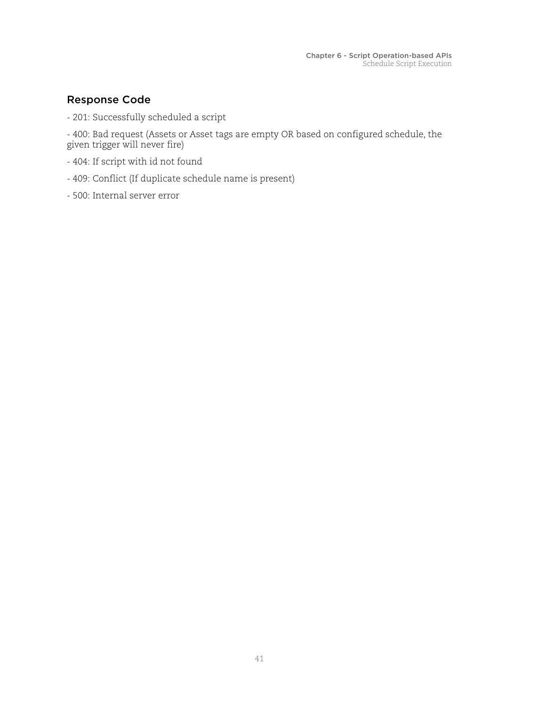## Response Code

- 201: Successfully scheduled a script

- 400: Bad request (Assets or Asset tags are empty OR based on configured schedule, the given trigger will never fire)

- 404: If script with id not found
- 409: Conflict (If duplicate schedule name is present)
- 500: Internal server error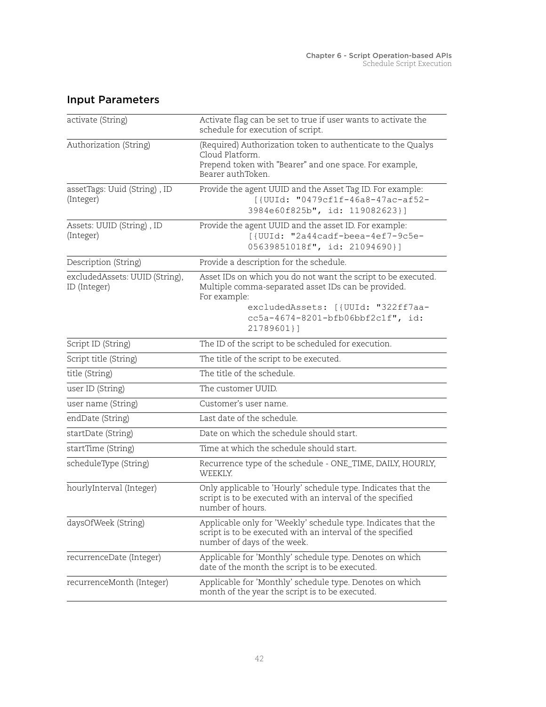| activate (String)                              | Activate flag can be set to true if user wants to activate the<br>schedule for execution of script.                                                                                                                            |
|------------------------------------------------|--------------------------------------------------------------------------------------------------------------------------------------------------------------------------------------------------------------------------------|
| Authorization (String)                         | (Required) Authorization token to authenticate to the Qualys<br>Cloud Platform.<br>Prepend token with "Bearer" and one space. For example,<br>Bearer authToken.                                                                |
| assetTags: Uuid (String), ID<br>(Integer)      | Provide the agent UUID and the Asset Tag ID. For example:<br>[{UUId: "0479cf1f-46a8-47ac-af52-<br>3984e60f825b", id: 119082623}]                                                                                               |
| Assets: UUID (String), ID<br>(Integer)         | Provide the agent UUID and the asset ID. For example:<br>[{UUId: "2a44cadf-beea-4ef7-9c5e-<br>05639851018f", id: 21094690}]                                                                                                    |
| Description (String)                           | Provide a description for the schedule.                                                                                                                                                                                        |
| excludedAssets: UUID (String),<br>ID (Integer) | Asset IDs on which you do not want the script to be executed.<br>Multiple comma-separated asset IDs can be provided.<br>For example:<br>excludedAssets: [ {UUId: "322ff7aa-<br>cc5a-4674-8201-bfb06bbf2c1f", id:<br>21789601}1 |
| Script ID (String)                             | The ID of the script to be scheduled for execution.                                                                                                                                                                            |
| Script title (String)                          | The title of the script to be executed.                                                                                                                                                                                        |
| title (String)                                 | The title of the schedule.                                                                                                                                                                                                     |
| user ID (String)                               | The customer UUID.                                                                                                                                                                                                             |
| user name (String)                             | Customer's user name.                                                                                                                                                                                                          |
| endDate (String)                               | Last date of the schedule.                                                                                                                                                                                                     |
| startDate (String)                             | Date on which the schedule should start.                                                                                                                                                                                       |
| startTime (String)                             | Time at which the schedule should start.                                                                                                                                                                                       |
| scheduleType (String)                          | Recurrence type of the schedule - ONE_TIME, DAILY, HOURLY,<br>WEEKLY.                                                                                                                                                          |
| hourlyInterval (Integer)                       | Only applicable to 'Hourly' schedule type. Indicates that the<br>script is to be executed with an interval of the specified<br>number of hours.                                                                                |
| daysOfWeek (String)                            | Applicable only for 'Weekly' schedule type. Indicates that the<br>script is to be executed with an interval of the specified<br>number of days of the week.                                                                    |
| recurrenceDate (Integer)                       | Applicable for 'Monthly' schedule type. Denotes on which<br>date of the month the script is to be executed.                                                                                                                    |
| recurrenceMonth (Integer)                      | Applicable for 'Monthly' schedule type. Denotes on which<br>month of the year the script is to be executed.                                                                                                                    |

# Input Parameters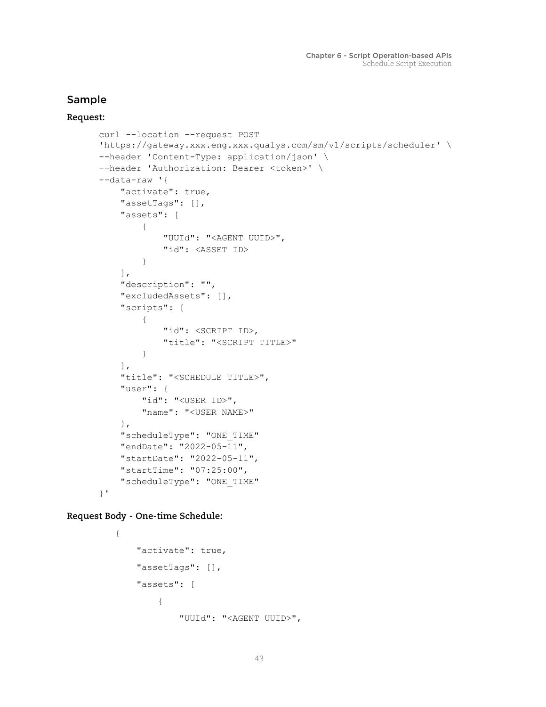## Sample

#### **Request:**

```
curl --location --request POST 
'https://gateway.xxx.eng.xxx.qualys.com/sm/v1/scripts/scheduler' \
--header 'Content-Type: application/json' \
--header 'Authorization: Bearer <token>' \
--data-raw '{
     "activate": true,
     "assetTags": [],
     "assets": [
         {
              "UUId": "<AGENT UUID>",
              "id": <ASSET ID>
         }
     ],
     "description": "",
     "excludedAssets": [],
     "scripts": [
         {
              "id": <SCRIPT ID>,
             "title": "<SCRIPT TITLE>"
         }
     ],
     "title": "<SCHEDULE TITLE>",
     "user": {
         "id": "<USER ID>",
         "name": "<USER NAME>"
     },
     "scheduleType": "ONE_TIME"
     "endDate": "2022-05-11",
     "startDate": "2022-05-11",
     "startTime": "07:25:00",
     "scheduleType": "ONE_TIME"
}'
```
**Request Body - One-time Schedule:**

```
{
     "activate": true,
     "assetTags": [],
     "assets": [
          {
              "UUId": "<AGENT UUID>",
```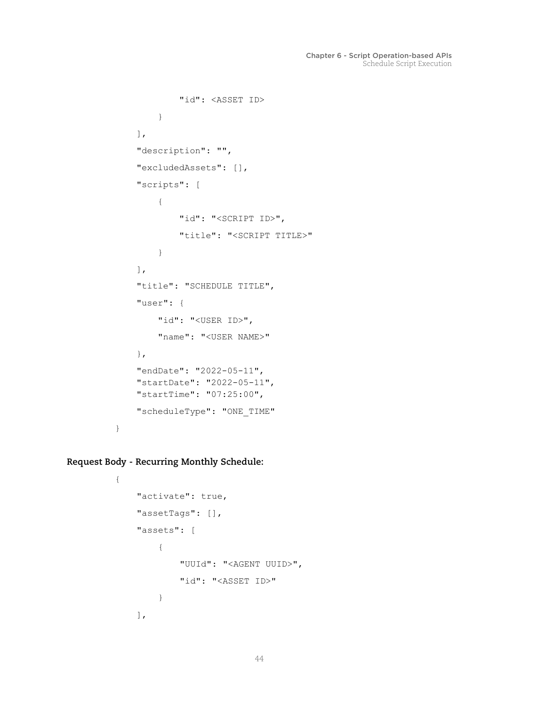```
 "id": <ASSET ID>
     }
 ],
 "description": "",
 "excludedAssets": [],
 "scripts": [
     {
         "id": "<SCRIPT ID>",
         "title": "<SCRIPT TITLE>"
     }
 ],
 "title": "SCHEDULE TITLE",
 "user": {
     "id": "<USER ID>",
     "name": "<USER NAME>"
 },
 "endDate": "2022-05-11",
 "startDate": "2022-05-11",
 "startTime": "07:25:00",
 "scheduleType": "ONE_TIME"
```
**Request Body - Recurring Monthly Schedule:**

}

{

```
 "activate": true,
 "assetTags": [],
 "assets": [
     {
          "UUId": "<AGENT UUID>",
          "id": "<ASSET ID>"
     }
\cdot
```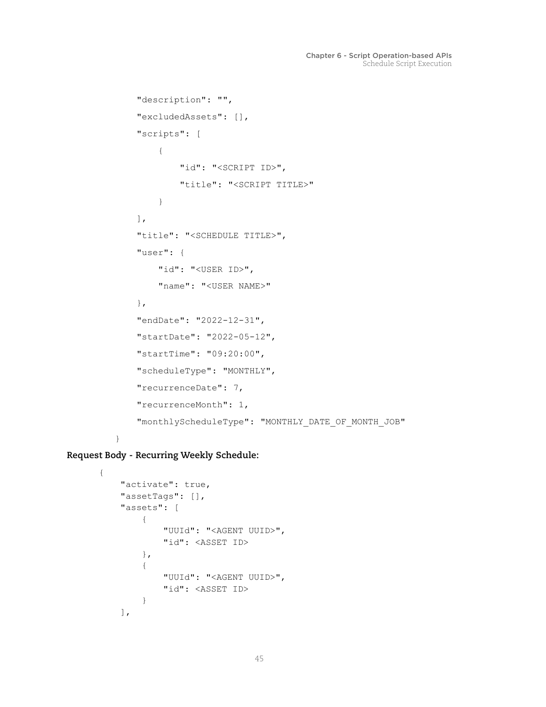```
 "description": "",
     "excludedAssets": [],
     "scripts": [
         {
             "id": "<SCRIPT ID>",
             "title": "<SCRIPT TITLE>"
         }
    \cdot "title": "<SCHEDULE TITLE>",
     "user": {
        "id": "<USER ID>",
         "name": "<USER NAME>"
     },
     "endDate": "2022-12-31",
     "startDate": "2022-05-12",
     "startTime": "09:20:00",
     "scheduleType": "MONTHLY",
     "recurrenceDate": 7,
     "recurrenceMonth": 1,
     "monthlyScheduleType": "MONTHLY_DATE_OF_MONTH_JOB"
}
```
**Request Body - Recurring Weekly Schedule:**

```
{
     "activate": true,
     "assetTags": [],
     "assets": [
         {
              "UUId": "<AGENT UUID>",
              "id": <ASSET ID>
         },
          {
              "UUId": "<AGENT UUID>",
              "id": <ASSET ID>
         }
     ],
```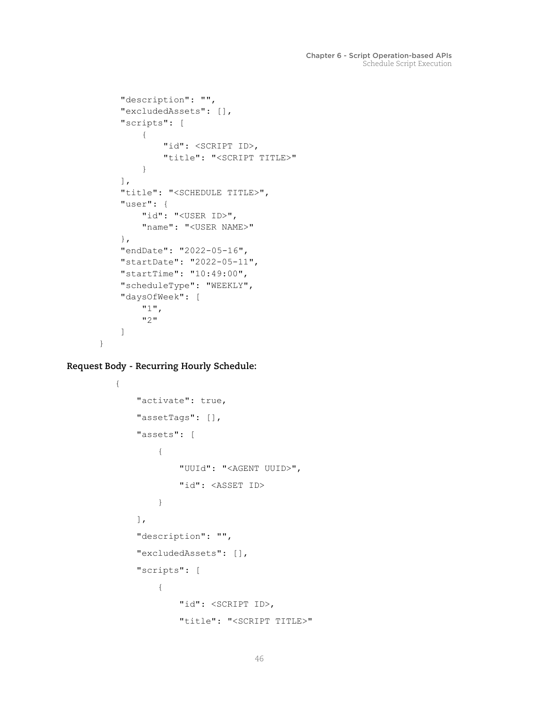```
 "description": "",
 "excludedAssets": [],
 "scripts": [
     {
         "id": <SCRIPT ID>,
         "title": "<SCRIPT TITLE>"
     }
 ],
 "title": "<SCHEDULE TITLE>",
 "user": {
     "id": "<USER ID>",
     "name": "<USER NAME>"
 },
 "endDate": "2022-05-16",
 "startDate": "2022-05-11",
 "startTime": "10:49:00",
 "scheduleType": "WEEKLY",
 "daysOfWeek": [
     "1",
     "2"
 ]
```
**Request Body - Recurring Hourly Schedule:**

}

```
{
     "activate": true,
     "assetTags": [],
     "assets": [
         {
              "UUId": "<AGENT UUID>",
              "id": <ASSET ID>
         }
     ],
     "description": "",
     "excludedAssets": [],
     "scripts": [
          {
              "id": <SCRIPT ID>,
              "title": "<SCRIPT TITLE>"
```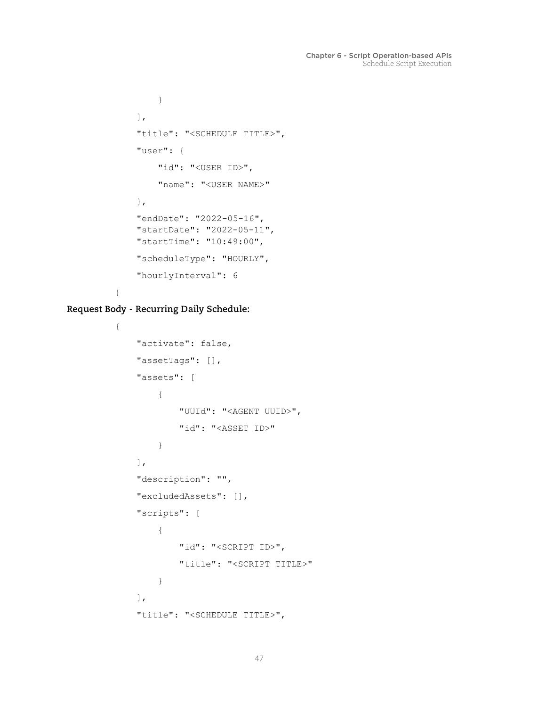```
 }
     ],
     "title": "<SCHEDULE TITLE>",
     "user": {
         "id": "<USER ID>",
         "name": "<USER NAME>"
     },
     "endDate": "2022-05-16",
     "startDate": "2022-05-11",
     "startTime": "10:49:00",
     "scheduleType": "HOURLY",
     "hourlyInterval": 6
}
```
**Request Body - Recurring Daily Schedule:**

```
{
     "activate": false,
     "assetTags": [],
     "assets": [
          {
              "UUId": "<AGENT UUID>",
              "id": "<ASSET ID>"
          }
     ],
     "description": "",
     "excludedAssets": [],
     "scripts": [
          {
              "id": "<SCRIPT ID>",
              "title": "<SCRIPT TITLE>"
          }
    \vert,
     "title": "<SCHEDULE TITLE>",
```